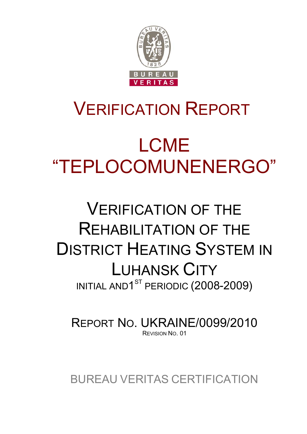

## VERIFICATION REPORT

# LCME "TEPLOCOMUNENERGO"

## VERIFICATION OF THE REHABILITATION OF THE DISTRICT HEATING SYSTEM IN LUHANSK CITY INITIAL AND<sup>1ST</sup> PERIODIC (2008-2009)

REPORT NO. UKRAINE/0099/2010 REVISION NO. 01

BUREAU VERITAS CERTIFICATION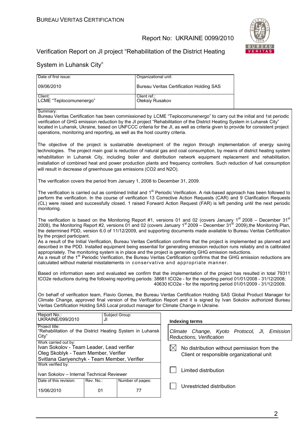

## Verification Report on JI project "Rehabilitation of the District Heating

| Date of first issue:                                                                                                                                                                                                                                                                                                                                                                                                                                                                                                                                                                                                                                                                                                                                                                                                                                                                                                                                                                                                                                               |                                                                                                                                                                                                                                                                                                                                                                                                                                                                                                                                                                    | Organizational unit:            |             |                                                                                                                          |                                                                                                                                                                                                                                                          |
|--------------------------------------------------------------------------------------------------------------------------------------------------------------------------------------------------------------------------------------------------------------------------------------------------------------------------------------------------------------------------------------------------------------------------------------------------------------------------------------------------------------------------------------------------------------------------------------------------------------------------------------------------------------------------------------------------------------------------------------------------------------------------------------------------------------------------------------------------------------------------------------------------------------------------------------------------------------------------------------------------------------------------------------------------------------------|--------------------------------------------------------------------------------------------------------------------------------------------------------------------------------------------------------------------------------------------------------------------------------------------------------------------------------------------------------------------------------------------------------------------------------------------------------------------------------------------------------------------------------------------------------------------|---------------------------------|-------------|--------------------------------------------------------------------------------------------------------------------------|----------------------------------------------------------------------------------------------------------------------------------------------------------------------------------------------------------------------------------------------------------|
| 09/06/2010                                                                                                                                                                                                                                                                                                                                                                                                                                                                                                                                                                                                                                                                                                                                                                                                                                                                                                                                                                                                                                                         |                                                                                                                                                                                                                                                                                                                                                                                                                                                                                                                                                                    |                                 |             | <b>Bureau Veritas Certification Holding SAS</b>                                                                          |                                                                                                                                                                                                                                                          |
| Client:<br>LCME "Teplocomunenergo"                                                                                                                                                                                                                                                                                                                                                                                                                                                                                                                                                                                                                                                                                                                                                                                                                                                                                                                                                                                                                                 |                                                                                                                                                                                                                                                                                                                                                                                                                                                                                                                                                                    | Client ref.:<br>Oleksiy Rusakov |             |                                                                                                                          |                                                                                                                                                                                                                                                          |
| Summary:<br>operations, monitoring and reporting, as well as the host country criteria.                                                                                                                                                                                                                                                                                                                                                                                                                                                                                                                                                                                                                                                                                                                                                                                                                                                                                                                                                                            |                                                                                                                                                                                                                                                                                                                                                                                                                                                                                                                                                                    |                                 |             | verification of GHG emission reduction by the JI project "Rehabilitation of the District Heating System in Luhansk City" | Bureau Veritas Certification has been commissioned by LCME "Teplocomunenergo" to carry out the initial and 1st periodic<br>located in Luhansk, Ukraine, based on UNFCCC criteria for the JI, as well as criteria given to provide for consistent project |
|                                                                                                                                                                                                                                                                                                                                                                                                                                                                                                                                                                                                                                                                                                                                                                                                                                                                                                                                                                                                                                                                    | The objective of the project is sustainable development of the region through implementation of energy saving<br>technologies. The project main goal is reduction of natural gas and coal consumption, by means of district heating system<br>rehabilitation in Luhansk City, including boiler and distribution network equipment replacement and rehabilitation,<br>installation of combined heat and power production plants and frequency controllers. Such reduction of fuel consumption<br>will result in decrease of greenhouse gas emissions (CO2 and N2O). |                                 |             |                                                                                                                          |                                                                                                                                                                                                                                                          |
| The verification covers the period from January 1, 2008 to December 31, 2009.                                                                                                                                                                                                                                                                                                                                                                                                                                                                                                                                                                                                                                                                                                                                                                                                                                                                                                                                                                                      |                                                                                                                                                                                                                                                                                                                                                                                                                                                                                                                                                                    |                                 |             |                                                                                                                          |                                                                                                                                                                                                                                                          |
| monitoring.                                                                                                                                                                                                                                                                                                                                                                                                                                                                                                                                                                                                                                                                                                                                                                                                                                                                                                                                                                                                                                                        | The verification is carried out as combined Initial and 1 <sup>st</sup> Periodic Verification. A risk-based approach has been followed to<br>perform the verification. In the course of verification 13 Corrective Action Requests (CAR) and 9 Clarification Requests<br>(CL) were raised and successfully closed. 1 raised Forward Action Request (FAR) is left pending until the next periodic                                                                                                                                                                   |                                 |             |                                                                                                                          |                                                                                                                                                                                                                                                          |
| The verification is based on the Monitoring Report #1, versions 01 and 02 (covers January 1 <sup>st</sup> 2008 – December 31 <sup>st</sup><br>2008), the Monitoring Report #2, versions 01 and 02 (covers January 1 <sup>st</sup> 2009 – December 31 <sup>st</sup> 2009),the Monitoring Plan,<br>the determined PDD, version 6.0 of 11/12/2009, and supporting documents made available to Bureau Veritas Certification<br>by the project participant.<br>As a result of the Initial Verification, Bureau Veritas Certification confirms that the project is implemented as planned and<br>described in the PDD. Installed equipment being essential for generating emission reduction runs reliably and is calibrated<br>appropriately. The monitoring system is in place and the project is generating GHG emission reductions.<br>As a result of the 1 <sup>st</sup> Periodic Verification, the Bureau Veritas Certification confirms that the GHG emission reductions are<br>calculated without material misstatements in conservative and appropriate manner. |                                                                                                                                                                                                                                                                                                                                                                                                                                                                                                                                                                    |                                 |             |                                                                                                                          |                                                                                                                                                                                                                                                          |
| Based on information seen and evaluated we confirm that the implementation of the project has resulted in total 79311<br>tCO2e reductions during the following reporting periods: 38681 tCO2e - for the reporting period 01/01/2008 - 31/12/2008;<br>40630 tCO2e - for the reporting period 01/01/2009 - 31/12/2009.                                                                                                                                                                                                                                                                                                                                                                                                                                                                                                                                                                                                                                                                                                                                               |                                                                                                                                                                                                                                                                                                                                                                                                                                                                                                                                                                    |                                 |             |                                                                                                                          |                                                                                                                                                                                                                                                          |
| On behalf of verification team, Flavio Gomes, the Bureau Veritas Certification Holding SAS Global Product Manager for<br>Climate Change, approved final version of the Verification Report and it is signed by Ivan Sokolov authorized Bureau<br>Veritas Certification Holding SAS Local product manager for Climate Change in Ukraine.                                                                                                                                                                                                                                                                                                                                                                                                                                                                                                                                                                                                                                                                                                                            |                                                                                                                                                                                                                                                                                                                                                                                                                                                                                                                                                                    |                                 |             |                                                                                                                          |                                                                                                                                                                                                                                                          |
| Report No.:<br>Subject Group:<br>UKRAINE/099/2010<br>JI<br><b>Indexing terms</b>                                                                                                                                                                                                                                                                                                                                                                                                                                                                                                                                                                                                                                                                                                                                                                                                                                                                                                                                                                                   |                                                                                                                                                                                                                                                                                                                                                                                                                                                                                                                                                                    |                                 |             |                                                                                                                          |                                                                                                                                                                                                                                                          |
| Project title:<br>"Rehabilitation of the District Heating System in Luhansk<br>City"                                                                                                                                                                                                                                                                                                                                                                                                                                                                                                                                                                                                                                                                                                                                                                                                                                                                                                                                                                               |                                                                                                                                                                                                                                                                                                                                                                                                                                                                                                                                                                    |                                 |             | Reductions, Verification                                                                                                 | Climate Change, Kyoto Protocol, JI, Emission                                                                                                                                                                                                             |
| Work carried out by:<br>Ivan Sokolov - Team Leader, Lead verifier<br>Oleg Skoblyk - Team Member, Verifier<br>Svitlana Gariyenchyk - Team Member, Verifier                                                                                                                                                                                                                                                                                                                                                                                                                                                                                                                                                                                                                                                                                                                                                                                                                                                                                                          |                                                                                                                                                                                                                                                                                                                                                                                                                                                                                                                                                                    |                                 | $\boxtimes$ | No distribution without permission from the<br>Client or responsible organizational unit                                 |                                                                                                                                                                                                                                                          |
| Work verified by:<br>Ivan Sokolov - Internal Technical Reviewer                                                                                                                                                                                                                                                                                                                                                                                                                                                                                                                                                                                                                                                                                                                                                                                                                                                                                                                                                                                                    |                                                                                                                                                                                                                                                                                                                                                                                                                                                                                                                                                                    |                                 |             | Limited distribution                                                                                                     |                                                                                                                                                                                                                                                          |
| Date of this revision:                                                                                                                                                                                                                                                                                                                                                                                                                                                                                                                                                                                                                                                                                                                                                                                                                                                                                                                                                                                                                                             | Rev. No.:                                                                                                                                                                                                                                                                                                                                                                                                                                                                                                                                                          | Number of pages:                |             | Unrestricted distribution                                                                                                |                                                                                                                                                                                                                                                          |
| 15/06/2010                                                                                                                                                                                                                                                                                                                                                                                                                                                                                                                                                                                                                                                                                                                                                                                                                                                                                                                                                                                                                                                         | 01                                                                                                                                                                                                                                                                                                                                                                                                                                                                                                                                                                 | 77                              |             |                                                                                                                          |                                                                                                                                                                                                                                                          |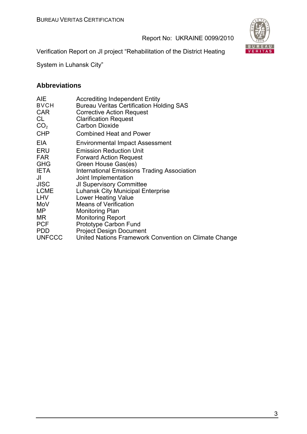

Verification Report on JI project "Rehabilitation of the District Heating

System in Luhansk City"

## **Abbreviations**

| <b>AIE</b><br><b>BVCH</b><br><b>CAR</b><br>CL<br>CO <sub>2</sub><br><b>CHP</b> | <b>Accrediting Independent Entity</b><br><b>Bureau Veritas Certification Holding SAS</b><br><b>Corrective Action Request</b><br><b>Clarification Request</b><br><b>Carbon Dioxide</b><br><b>Combined Heat and Power</b> |
|--------------------------------------------------------------------------------|-------------------------------------------------------------------------------------------------------------------------------------------------------------------------------------------------------------------------|
| EIA                                                                            | Environmental Impact Assessment                                                                                                                                                                                         |
| ERU                                                                            | <b>Emission Reduction Unit</b>                                                                                                                                                                                          |
| <b>FAR</b>                                                                     | <b>Forward Action Request</b>                                                                                                                                                                                           |
| <b>GHG</b>                                                                     | Green House Gas(es)                                                                                                                                                                                                     |
| <b>IETA</b>                                                                    | <b>International Emissions Trading Association</b>                                                                                                                                                                      |
| JI                                                                             | Joint Implementation                                                                                                                                                                                                    |
| <b>JISC</b>                                                                    | <b>JI Supervisory Committee</b>                                                                                                                                                                                         |
| <b>LCME</b>                                                                    | <b>Luhansk City Municipal Enterprise</b>                                                                                                                                                                                |
| <b>LHV</b>                                                                     | <b>Lower Heating Value</b>                                                                                                                                                                                              |
| MoV                                                                            | <b>Means of Verification</b>                                                                                                                                                                                            |
| MP                                                                             | Monitoring Plan                                                                                                                                                                                                         |
| MR.                                                                            | <b>Monitoring Report</b>                                                                                                                                                                                                |
| <b>PCF</b>                                                                     | Prototype Carbon Fund                                                                                                                                                                                                   |
| <b>PDD</b>                                                                     | <b>Project Design Document</b>                                                                                                                                                                                          |
| <b>UNFCCC</b>                                                                  | United Nations Framework Convention on Climate Change                                                                                                                                                                   |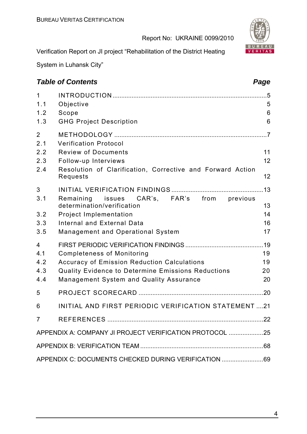

Verification Report on JI project "Rehabilitation of the District Heating

System in Luhansk City"

## **Table of Contents** *Page Page Page Page Page Page*

| 1<br>1.1<br>1.2<br>1.3 | Objective<br>Scope<br><b>GHG Project Description</b>                                           | 5<br>6<br>6 |  |
|------------------------|------------------------------------------------------------------------------------------------|-------------|--|
| $\overline{2}$<br>2.1  | <b>Verification Protocol</b>                                                                   |             |  |
| 2.2                    | <b>Review of Documents</b>                                                                     | 11          |  |
| 2.3<br>2.4             | Follow-up Interviews<br>Resolution of Clarification, Corrective and Forward Action<br>Requests | 12<br>12    |  |
| 3                      |                                                                                                | 13          |  |
| 3.1                    | Remaining issues CAR's, FAR's from<br>previous<br>determination/verification                   | 13          |  |
| 3.2                    | <b>Project Implementation</b>                                                                  | 14          |  |
| 3.3                    | Internal and External Data                                                                     | 16          |  |
| 3.5                    | <b>Management and Operational System</b>                                                       | 17          |  |
| 4                      |                                                                                                |             |  |
| 4.1                    | <b>Completeness of Monitoring</b>                                                              | 19          |  |
| 4.2                    | <b>Accuracy of Emission Reduction Calculations</b>                                             | 19          |  |
| 4.3                    | <b>Quality Evidence to Determine Emissions Reductions</b>                                      | 20          |  |
| 4.4                    | Management System and Quality Assurance                                                        | 20          |  |
| 5                      |                                                                                                |             |  |
| 6                      | INITIAL AND FIRST PERIODIC VERIFICATION STATEMENT 21                                           |             |  |
|                        |                                                                                                |             |  |
|                        | APPENDIX A: COMPANY JI PROJECT VERIFICATION PROTOCOL 25                                        |             |  |
|                        |                                                                                                |             |  |
|                        | APPENDIX C: DOCUMENTS CHECKED DURING VERIFICATION 69                                           |             |  |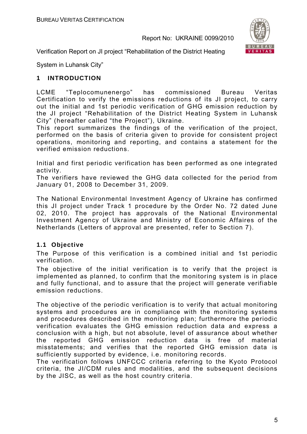

Verification Report on JI project "Rehabilitation of the District Heating

System in Luhansk City"

## **1 INTRODUCTION**

LCME "Teplocomunenergo" has commissioned Bureau Veritas Certification to verify the emissions reductions of its JI project, to carry out the initial and 1st periodic verification of GHG emission reduction by the JI project "Rehabilitation of the District Heating System in Luhansk City" (hereafter called "the Project"), Ukraine.

This report summarizes the findings of the verification of the project, performed on the basis of criteria given to provide for consistent project operations, monitoring and reporting, and contains a statement for the verified emission reductions.

Initial and first periodic verification has been performed as one integrated activity.

The verifiers have reviewed the GHG data collected for the period from January 01, 2008 to December 31, 2009.

The National Environmental Investment Agency of Ukraine has confirmed this JI project under Track 1 procedure by the Order No. 72 dated June 02, 2010. The project has approvals of the National Environmental Investment Agency of Ukraine and Ministry of Economic Affaires of the Netherlands (Letters of approval are presented, refer to Section 7).

#### **1.1 Objective**

The Purpose of this verification is a combined initial and 1st periodic verification.

The objective of the initial verification is to verify that the project is implemented as planned, to confirm that the monitoring system is in place and fully functional, and to assure that the project will generate verifiable emission reductions.

The objective of the periodic verification is to verify that actual monitoring systems and procedures are in compliance with the monitoring systems and procedures described in the monitoring plan; furthermore the periodic verification evaluates the GHG emission reduction data and express a conclusion with a high, but not absolute, level of assurance about whether the reported GHG emission reduction data is free of material misstatements; and verifies that the reported GHG emission data is sufficiently supported by evidence, i.e. monitoring records.

The verification follows UNFCCC criteria referring to the Kyoto Protocol criteria, the JI/CDM rules and modalities, and the subsequent decisions by the JISC, as well as the host country criteria.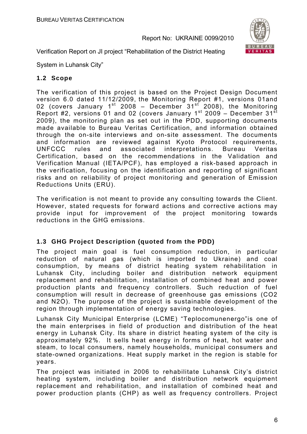

Verification Report on JI project "Rehabilitation of the District Heating

System in Luhansk City"

#### **1.2 Scope**

The verification of this project is based on the Project Design Document version 6.0 dated 11/12/2009, the Monitoring Report #1, versions 01and 02 (covers January  $1^{st}$  2008 – December 31 $^{st}$  2008), the Monitoring Report #2, versions 01 and 02 (covers January 1<sup>st</sup> 2009 – December 31<sup>st</sup> 2009), the monitoring plan as set out in the PDD, supporting documents made available to Bureau Veritas Certification, and information obtained through the on-site interviews and on-site assessment. The documents and information are reviewed against Kyoto Protocol requirements, UNFCCC rules and associated interpretations. Bureau Veritas Certification, based on the recommendations in the Validation and Verification Manual (IETA/PCF), has employed a risk-based approach in the verification, focusing on the identification and reporting of significant risks and on reliability of project monitoring and generation of Emission Reductions Units (ERU).

The verification is not meant to provide any consulting towards the Client. However, stated requests for forward actions and corrective actions may provide input for improvement of the project monitoring towards reductions in the GHG emissions.

#### **1.3 GHG Project Description (quoted from the PDD)**

The project main goal is fuel consumption reduction, in particular reduction of natural gas (which is imported to Ukraine) and coal consumption, by means of district heating system rehabilitation in Luhansk City, including boiler and distribution network equipment replacement and rehabilitation, installation of combined heat and power production plants and frequency controllers. Such reduction of fuel consumption will result in decrease of greenhouse gas emissions (CO2 and N2O). The purpose of the project is sustainable development of the region through implementation of energy saving technologies.

Luhansk City Municipal Enterprise (LCME) "Teplocomunenergo"is one of the main enterprises in field of production and distribution of the heat energy in Luhansk City. Its share in district heating system of the city is approximately 92%. It sells heat energy in forms of heat, hot water and steam, to local consumers, namely households, municipal consumers and state-owned organizations. Heat supply market in the region is stable for years.

The project was initiated in 2006 to rehabilitate Luhansk City's district heating system, including boiler and distribution network equipment replacement and rehabilitation, and installation of combined heat and power production plants (CHP) as well as frequency controllers. Project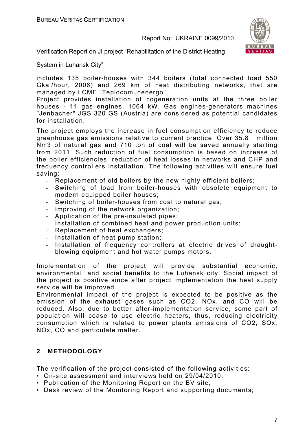

Verification Report on JI project "Rehabilitation of the District Heating

System in Luhansk City"

includes 135 boiler-houses with 344 boilers (total connected load 550 Gkal/hour, 2006) and 269 km of heat distributing networks, that are managed by LCME "Teplocomunenergo".

Project provides installation of cogeneration units at the three boiler houses - 11 gas engines, 1064 kW. Gas engines-generators machines "Jenbacher" JGS 320 GS (Austria) are considered as potential candidates for installation.

The project employs the increase in fuel consumption efficiency to reduce greenhouse gas emissions relative to current practice. Over 35.8 million Nm3 of natural gas and 710 ton of coal will be saved annually starting from 2011. Such reduction of fuel consumption is based on increase of the boiler efficiencies, reduction of heat losses in networks and CHP and frequency controllers installation. The following activities will ensure fuel saving:

- Replacement of old boilers by the new highly efficient boilers;
- Switching of load from boiler-houses with obsolete equipment to modern equipped boiler houses;
- Switching of boiler-houses from coal to natural gas;
- Improving of the network organization;
- Application of the pre-insulated pipes;
- Installation of combined heat and power production units;
- Replacement of heat exchangers;
- Installation of heat pump station;
- Installation of frequency controllers at electric drives of draughtblowing equipment and hot water pumps motors.

Implementation of the project will provide substantial economic, environmental, and social benefits to the Luhansk city. Social impact of the project is positive since after project implementation the heat supply service will be improved.

Environmental impact of the project is expected to be positive as the emission of the exhaust gases such as CO2, NOx, and CO will be reduced. Also, due to better after-implementation service, some part of population will cease to use electric heaters, thus, reducing electricity consumption which is related to power plants emissions of CO2, SOx, NOx, CO and particulate matter.

## **2 METHODOLOGY**

The verification of the project consisted of the following activities:

- On-site assessment and interviews held on 29/04/2010;
- Publication of the Monitoring Report on the BV site;
- Desk review of the Monitoring Report and supporting documents;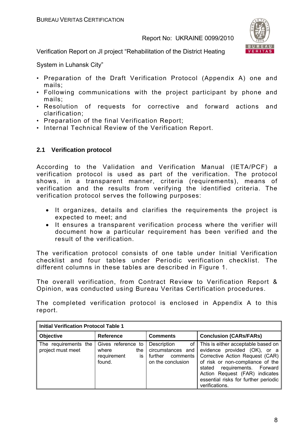

Verification Report on JI project "Rehabilitation of the District Heating

System in Luhansk City"

- Preparation of the Draft Verification Protocol (Appendix A) one and mails;
- Following communications with the project participant by phone and mails;
- Resolution of requests for corrective and forward actions and clarification;
- Preparation of the final Verification Report;
- Internal Technical Review of the Verification Report.

#### **2.1 Verification protocol**

According to the Validation and Verification Manual (IETA/PCF) a verification protocol is used as part of the verification. The protocol shows, in a transparent manner, criteria (requirements), means of verification and the results from verifying the identified criteria. The verification protocol serves the following purposes:

- It organizes, details and clarifies the requirements the project is expected to meet; and
- It ensures a transparent verification process where the verifier will document how a particular requirement has been verified and the result of the verification.

The verification protocol consists of one table under Initial Verification checklist and four tables under Periodic verification checklist. The different columns in these tables are described in Figure 1.

The overall verification, from Contract Review to Verification Report & Opinion, was conducted using Bureau Veritas Certification procedures.

The completed verification protocol is enclosed in Appendix A to this report.

| <b>Initial Verification Protocol Table 1</b> |                                                                   |                                                                                      |                                                                                                                                                                                                                                                                          |
|----------------------------------------------|-------------------------------------------------------------------|--------------------------------------------------------------------------------------|--------------------------------------------------------------------------------------------------------------------------------------------------------------------------------------------------------------------------------------------------------------------------|
| <b>Objective</b>                             | <b>Reference</b>                                                  | <b>Comments</b>                                                                      | <b>Conclusion (CARs/FARs)</b>                                                                                                                                                                                                                                            |
| The requirements the<br>project must meet    | Gives reference to<br>where<br>the<br>requirement<br>is<br>found. | Description<br>of I<br>circumstances and<br>further<br>comments<br>on the conclusion | This is either acceptable based on<br>evidence provided (OK), or a<br>Corrective Action Request (CAR)<br>of risk or non-compliance of the<br>requirements. Forward<br>stated<br>Action Request (FAR) indicates<br>essential risks for further periodic<br>verifications. |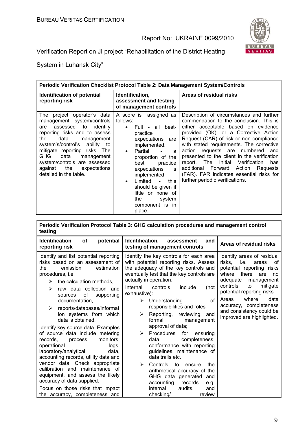

Verification Report on JI project "Rehabilitation of the District Heating

System in Luhansk City"

ń

| Periodic Verification Checklist Protocol Table 2: Data Management System/Controls                                                                                                                                                                                                                                                                           |                                                                                                                                                                                                                                                                                                                                                                         |                                                                                                                                                                                                                                                                                                                                                                                                                                                                                                                           |  |
|-------------------------------------------------------------------------------------------------------------------------------------------------------------------------------------------------------------------------------------------------------------------------------------------------------------------------------------------------------------|-------------------------------------------------------------------------------------------------------------------------------------------------------------------------------------------------------------------------------------------------------------------------------------------------------------------------------------------------------------------------|---------------------------------------------------------------------------------------------------------------------------------------------------------------------------------------------------------------------------------------------------------------------------------------------------------------------------------------------------------------------------------------------------------------------------------------------------------------------------------------------------------------------------|--|
| <b>Identification of potential</b><br>reporting risk                                                                                                                                                                                                                                                                                                        | Identification,<br>assessment and testing<br>of management controls                                                                                                                                                                                                                                                                                                     | Areas of residual risks                                                                                                                                                                                                                                                                                                                                                                                                                                                                                                   |  |
| The project operator's data<br>management system/controls<br>assessed to<br>identify<br>are<br>reporting risks and to assess<br>data<br>the<br>management<br>system's/control's ability to<br>mitigate reporting risks. The<br><b>GHG</b><br>data<br>management<br>system/controls are assessed<br>the<br>against<br>expectations<br>detailed in the table. | A score is assigned as<br>follows:<br>Full - all best-<br>$\bullet$<br>practice<br>expectations are<br>implemented.<br>Partial<br>$\bullet$<br>a<br>proportion of the<br>best<br>practice<br>expectations<br>is<br>implemented<br>Limited<br>this<br>$\mathbf{r}$<br>$\bullet$<br>should be given if<br>little or none of<br>the<br>system<br>component is in<br>place. | Description of circumstances and further<br>commendation to the conclusion. This is<br>either acceptable based on evidence<br>provided (OK), or a Corrective Action<br>Request (CAR) of risk or non compliance<br>with stated requirements. The corrective<br>action requests are numbered<br>and<br>presented to the client in the verification<br>report. The<br>Initial<br>Verification<br>has<br>additional Forward Action<br>Reguests<br>(FAR). FAR indicates essential risks for<br>further periodic verifications. |  |

| Periodic Verification Protocol Table 3: GHG calculation procedures and management control<br>testing                                                                                                                                                                                                                                                                                                                                                                                                                                                                                                                                                                                                                                                                |                                                                                                                                                                                                                                                                                                                                                                                                                                                                                                                                                                                                                                                                                                                                               |                                                                                                                                                                                                                                                                                                                        |  |
|---------------------------------------------------------------------------------------------------------------------------------------------------------------------------------------------------------------------------------------------------------------------------------------------------------------------------------------------------------------------------------------------------------------------------------------------------------------------------------------------------------------------------------------------------------------------------------------------------------------------------------------------------------------------------------------------------------------------------------------------------------------------|-----------------------------------------------------------------------------------------------------------------------------------------------------------------------------------------------------------------------------------------------------------------------------------------------------------------------------------------------------------------------------------------------------------------------------------------------------------------------------------------------------------------------------------------------------------------------------------------------------------------------------------------------------------------------------------------------------------------------------------------------|------------------------------------------------------------------------------------------------------------------------------------------------------------------------------------------------------------------------------------------------------------------------------------------------------------------------|--|
| <b>Identification</b><br><b>of</b><br>potential<br>reporting risk                                                                                                                                                                                                                                                                                                                                                                                                                                                                                                                                                                                                                                                                                                   | Identification,<br>assessment<br>and<br>testing of management controls                                                                                                                                                                                                                                                                                                                                                                                                                                                                                                                                                                                                                                                                        | Areas of residual risks                                                                                                                                                                                                                                                                                                |  |
| Identify and list potential reporting<br>risks based on an assessment of<br>estimation<br>emission<br>the<br>procedures, <i>i.e.</i><br>the calculation methods,<br>≻<br>raw data collection and<br>↘<br>of<br>supporting<br>sources<br>documentation.<br>reports/databases/informat<br>↘<br>ion systems from which<br>data is obtained.<br>Identify key source data. Examples<br>of source data include metering<br>monitors.<br>records.<br>process<br>operational<br>logs,<br>laboratory/analytical<br>data,<br>accounting records, utility data and<br>vendor data. Check appropriate<br>calibration and maintenance of<br>equipment, and assess the likely<br>accuracy of data supplied.<br>Focus on those risks that impact<br>the accuracy, completeness and | Identify the key controls for each area<br>with potential reporting risks. Assess<br>the adequacy of the key controls and<br>eventually test that the key controls are<br>actually in operation.<br>Internal<br>controls<br>include<br>(not<br>exhaustive):<br>Understanding<br>Ωf<br>➤<br>responsibilities and roles<br>Reporting, reviewing<br>➤<br>and<br>formal<br>management<br>approval of data;<br>Procedures<br>⋗<br>for<br>ensuring<br>completeness,<br>data<br>conformance with reporting<br>guidelines, maintenance of<br>data trails etc.<br>↘<br>Controls<br>to<br>the<br>ensure<br>arithmetical accuracy of the<br>GHG data generated and<br>records<br>accounting<br>e.g.<br>audits,<br>internal<br>and<br>checking/<br>review | Identify areas of residual<br>risks, i.e.<br>areas<br>οf<br>potential reporting risks<br>where<br>there<br>are<br>no<br>adequate<br>management<br>controls<br>mitigate<br>to<br>potential reporting risks<br>data<br>Areas<br>where<br>accuracy, completeness<br>and consistency could be<br>improved are highlighted. |  |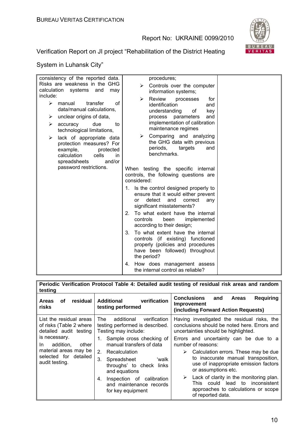

Verification Report on JI project "Rehabilitation of the District Heating

| consistency of the reported data.<br>Risks are weakness in the GHG<br>calculation systems and<br>may                                                                     | procedures;<br>Controls over the computer<br>➤<br>information systems;                                                                                                 |  |
|--------------------------------------------------------------------------------------------------------------------------------------------------------------------------|------------------------------------------------------------------------------------------------------------------------------------------------------------------------|--|
| include:<br>$\blacktriangleright$<br>transfer<br>manual<br>Ωf<br>data/manual calculations,<br>unclear origins of data,<br>➤<br>due<br>⋗<br>to<br>accuracy                | Review<br>⋗<br>processes<br>for<br>identification<br>and<br>understanding<br>of<br>key<br>process parameters<br>and<br>implementation of calibration                   |  |
| technological limitations,<br>lack of appropriate data<br>➤<br>protection measures? For<br>example,<br>protected<br>calculation<br>cells<br>in<br>and/or<br>spreadsheets | maintenance regimes<br>Comparing and analyzing<br>➤<br>the GHG data with previous<br>periods,<br>targets<br>and<br>benchmarks.                                         |  |
| password restrictions.                                                                                                                                                   | When testing the specific internal<br>controls, the following questions are<br>considered:                                                                             |  |
|                                                                                                                                                                          | 1. Is the control designed properly to<br>ensure that it would either prevent<br>detect<br>and<br>correct<br><sub>or</sub><br>any<br>significant misstatements?        |  |
|                                                                                                                                                                          | To what extent have the internal<br>$2_{-}$<br>controls<br>been<br>implemented<br>according to their design;                                                           |  |
|                                                                                                                                                                          | To what extent have the internal<br>$3_{-}$<br>controls (if existing) functioned<br>properly (policies and procedures<br>have been followed) throughout<br>the period? |  |
|                                                                                                                                                                          | How does management assess<br>4.<br>the internal control as reliable?                                                                                                  |  |

| Periodic Verification Protocol Table 4: Detailed audit testing of residual risk areas and random<br>testing    |                                                                                              |                                                                                                                                                                  |  |
|----------------------------------------------------------------------------------------------------------------|----------------------------------------------------------------------------------------------|------------------------------------------------------------------------------------------------------------------------------------------------------------------|--|
| residual<br><b>Areas</b><br>οf<br>risks                                                                        | verification<br>Additional<br>testing performed                                              | Conclusions<br>and<br><b>Requiring</b><br><b>Areas</b><br>Improvement<br>(including Forward Action Requests)                                                     |  |
| List the residual areas<br>of risks (Table 2 where<br>detailed audit testing                                   | The<br>additional<br>verification<br>testing performed is described.<br>Testing may include: | Having investigated the residual risks, the<br>conclusions should be noted here. Errors and<br>uncertainties should be highlighted.                              |  |
| is necessary.<br>addition.<br>other<br>In.<br>material areas may be<br>selected for detailed<br>audit testing. | 1. Sample cross checking of<br>manual transfers of data                                      | Errors and uncertainty can be due to a<br>number of reasons:                                                                                                     |  |
|                                                                                                                | 2. Recalculation<br>3.<br>Spreadsheet<br>ʻwalk<br>throughs' to check links<br>and equations  | Calculation errors. These may be due<br>➤<br>to inaccurate manual transposition,<br>use of inappropriate emission factors<br>or assumptions etc.                 |  |
|                                                                                                                | Inspection of calibration<br>4.<br>and maintenance records<br>for key equipment              | $\triangleright$ Lack of clarity in the monitoring plan.<br>could<br>lead to<br>inconsistent<br>This<br>approaches to calculations or scope<br>of reported data. |  |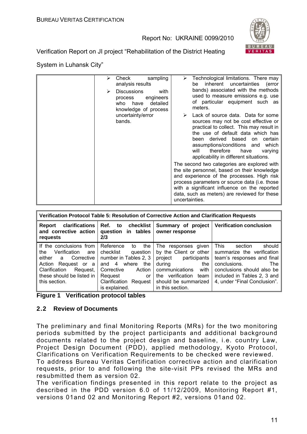

Verification Report on JI project "Rehabilitation of the District Heating

#### System in Luhansk City"

| sampling<br>≻<br>Check<br>analysis results<br><b>Discussions</b><br>with<br>⋗<br>engineers<br>process<br>who have<br>detailed<br>knowledge of process<br>uncertainty/error<br>bands. | Technological limitations. There may<br>inherent uncertainties (error<br>be<br>bands) associated with the methods<br>used to measure emissions e.g. use<br>of particular equipment such as<br>meters.<br>Lack of source data. Data for some<br>sources may not be cost effective or<br>practical to collect. This may result in<br>the use of default data which has<br>based<br>been derived<br>on certain<br>assumptions/conditions and<br>which<br>therefore<br>will<br>have<br>varying<br>applicability in different situations.<br>The second two categories are explored with<br>the site personnel, based on their knowledge<br>and experience of the processes. High risk<br>process parameters or source data (i.e. those<br>with a significant influence on the reported<br>data, such as meters) are reviewed for these |
|--------------------------------------------------------------------------------------------------------------------------------------------------------------------------------------|------------------------------------------------------------------------------------------------------------------------------------------------------------------------------------------------------------------------------------------------------------------------------------------------------------------------------------------------------------------------------------------------------------------------------------------------------------------------------------------------------------------------------------------------------------------------------------------------------------------------------------------------------------------------------------------------------------------------------------------------------------------------------------------------------------------------------------|
|                                                                                                                                                                                      | uncertainties.                                                                                                                                                                                                                                                                                                                                                                                                                                                                                                                                                                                                                                                                                                                                                                                                                     |

| Verification Protocol Table 5: Resolution of Corrective Action and Clarification Requests                                                                                            |                                                                                                                                                                                           |                                                                                                                                                                                          |                                                                                                                                                                                                                  |
|--------------------------------------------------------------------------------------------------------------------------------------------------------------------------------------|-------------------------------------------------------------------------------------------------------------------------------------------------------------------------------------------|------------------------------------------------------------------------------------------------------------------------------------------------------------------------------------------|------------------------------------------------------------------------------------------------------------------------------------------------------------------------------------------------------------------|
| clarifications<br>Report<br>and corrective action<br>requests                                                                                                                        | Ref. to checklist<br>question in tables<br>2/3                                                                                                                                            | owner response                                                                                                                                                                           | Summary of project   Verification conclusion                                                                                                                                                                     |
| If the conclusions from<br>Verification<br>the<br>are<br>either a<br>Corrective<br>Action<br>Request or a<br>Clarification<br>Request,<br>these should be listed in<br>this section. | Reference<br>the<br>to<br>checklist<br>question<br>number in Tables 2, 3<br>where<br>and $4$<br>the<br>Corrective<br>Action<br>Request<br>or<br>Clarification<br>Request<br>is explained. | The responses given<br>by the Client or other<br>project participants<br>during<br>the<br>communications<br>with<br>the verification<br>team<br>should be summarized<br>in this section. | This<br>should<br>section<br>summarize the verification<br>team's responses and final<br>conclusions.<br><b>The</b><br>conclusions should also be<br>included in Tables 2, 3 and<br>4, under "Final Conclusion". |

#### **2.2 Review of Documents**

The preliminary and final Monitoring Reports (MRs) for the two monitoring periods submitted by the project participants and additional background documents related to the project design and baseline, i.e. country Law, Project Design Document (PDD), applied methodology, Kyoto Protocol, Clarifications on Verification Requirements to be checked were reviewed. To address Bureau Veritas Certification corrective action and clarification requests, prior to and following the site-visit PPs revised the MRs and

resubmitted them as version 02. The verification findings presented in this report relate to the project as described in the PDD version 6.0 of 11/12/2009, Monitoring Report #1, versions 01and 02 and Monitoring Report #2, versions 01and 02.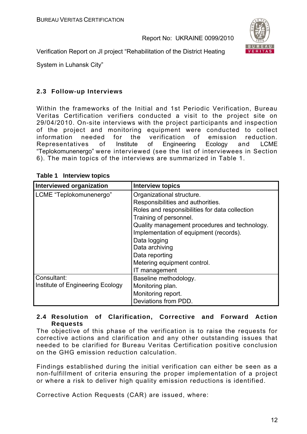

Verification Report on JI project "Rehabilitation of the District Heating

System in Luhansk City"

#### **2.3 Follow-up Interviews**

Within the frameworks of the Initial and 1st Periodic Verification, Bureau Veritas Certification verifiers conducted a visit to the project site on 29/04/2010. On-site interviews with the project participants and inspection of the project and monitoring equipment were conducted to collect information needed for the verification of emission reduction. Representatives of Institute of Engineering Ecology and LCME "Teplokomunenergo" were interviewed (see the list of interviewees in Section 6). The main topics of the interviews are summarized in Table 1.

| Interviewed organization         | <b>Interview topics</b>                        |
|----------------------------------|------------------------------------------------|
| LCME "Teplokomunenergo"          | Organizational structure.                      |
|                                  | Responsibilities and authorities.              |
|                                  | Roles and responsibilities for data collection |
|                                  | Training of personnel.                         |
|                                  | Quality management procedures and technology.  |
|                                  | Implementation of equipment (records).         |
|                                  | Data logging                                   |
|                                  | Data archiving                                 |
|                                  | Data reporting                                 |
|                                  | Metering equipment control.                    |
|                                  | IT management                                  |
| Consultant:                      | Baseline methodology.                          |
| Institute of Engineering Ecology | Monitoring plan.                               |
|                                  | Monitoring report.                             |
|                                  | Deviations from PDD.                           |

**Table 1 Interview topics** 

#### **2.4 Resolution of Clarification, Corrective and Forward Action Requests**

The objective of this phase of the verification is to raise the requests for corrective actions and clarification and any other outstanding issues that needed to be clarified for Bureau Veritas Certification positive conclusion on the GHG emission reduction calculation.

Findings established during the initial verification can either be seen as a non-fulfillment of criteria ensuring the proper implementation of a project or where a risk to deliver high quality emission reductions is identified.

Corrective Action Requests (CAR) are issued, where: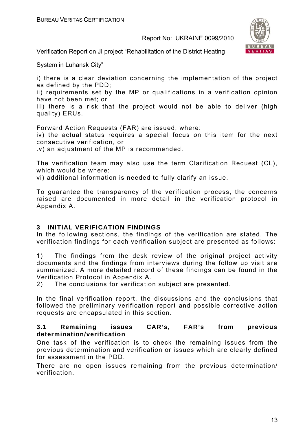

Verification Report on JI project "Rehabilitation of the District Heating

System in Luhansk City"

i) there is a clear deviation concerning the implementation of the project as defined by the PDD;

ii) requirements set by the MP or qualifications in a verification opinion have not been met; or

iii) there is a risk that the project would not be able to deliver (high quality) ERUs.

Forward Action Requests (FAR) are issued, where:

iv) the actual status requires a special focus on this item for the next consecutive verification, or

.v) an adjustment of the MP is recommended.

The verification team may also use the term Clarification Request (CL), which would be where:

vi) additional information is needed to fully clarify an issue.

To guarantee the transparency of the verification process, the concerns raised are documented in more detail in the verification protocol in Appendix A.

#### **3 INITIAL VERIFICATION FINDINGS**

In the following sections, the findings of the verification are stated. The verification findings for each verification subject are presented as follows:

1) The findings from the desk review of the original project activity documents and the findings from interviews during the follow up visit are summarized. A more detailed record of these findings can be found in the Verification Protocol in Appendix A.

2) The conclusions for verification subject are presented.

In the final verification report, the discussions and the conclusions that followed the preliminary verification report and possible corrective action requests are encapsulated in this section.

#### **3.1 Remaining issues CAR's, FAR's from previous determination/verification**

One task of the verification is to check the remaining issues from the previous determination and verification or issues which are clearly defined for assessment in the PDD.

There are no open issues remaining from the previous determination/ verification.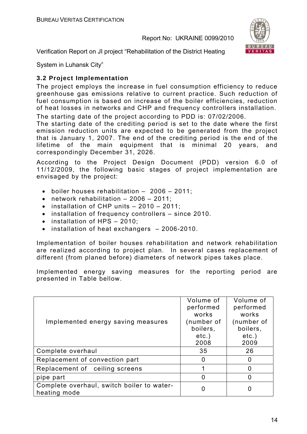

Verification Report on JI project "Rehabilitation of the District Heating

System in Luhansk City"

## **3.2 Project Implementation**

The project employs the increase in fuel consumption efficiency to reduce greenhouse gas emissions relative to current practice. Such reduction of fuel consumption is based on increase of the boiler efficiencies, reduction of heat losses in networks and CHP and frequency controllers installation. The starting date of the project according to PDD is: 07/02/2006.

The starting date of the crediting period is set to the date where the first emission reduction units are expected to be generated from the project that is January 1, 2007. The end of the crediting period is the end of the lifetime of the main equipment that is minimal 20 years, and correspondingly December 31, 2026.

According to the Project Design Document (PDD) version 6.0 of 11/12/2009, the following basic stages of project implementation are envisaged by the project:

- boiler houses rehabilitation 2006 2011;
- network rehabilitation 2006 2011;
- installation of CHP units 2010 2011:
- installation of frequency controllers since 2010.
- installation of HPS 2010:
- installation of heat exchangers 2006-2010.

Implementation of boiler houses rehabilitation and network rehabilitation are realized according to project plan. In several cases replacement of different (from planed before) diameters of network pipes takes place.

Implemented energy saving measures for the reporting period are presented in Table bellow.

| Implemented energy saving measures                         | Volume of<br>performed<br>works<br>(number of<br>boilers,<br>$etc.$ )<br>2008 | Volume of<br>performed<br>works<br>(number of<br>boilers,<br>$etc.$ )<br>2009 |
|------------------------------------------------------------|-------------------------------------------------------------------------------|-------------------------------------------------------------------------------|
| Complete overhaul                                          | 35                                                                            | 26                                                                            |
| Replacement of convection part                             | 0                                                                             |                                                                               |
| Replacement of ceiling screens                             |                                                                               |                                                                               |
| pipe part                                                  | 0                                                                             |                                                                               |
| Complete overhaul, switch boiler to water-<br>heating mode | 0                                                                             |                                                                               |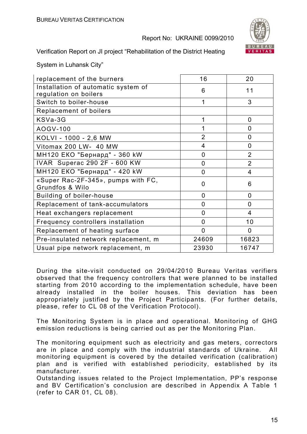

Verification Report on JI project "Rehabilitation of the District Heating

System in Luhansk City"

| replacement of the burners                                   | 16             | 20             |
|--------------------------------------------------------------|----------------|----------------|
| Installation of automatic system of<br>regulation on boilers | 6              | 11             |
| Switch to boiler-house                                       | 1              | 3              |
| Replacement of boilers                                       |                |                |
| KSVa-3G                                                      | 1              | $\overline{0}$ |
| AOGV-100                                                     | 1              | 0              |
| KOLVI - 1000 - 2,6 MW                                        | $\overline{2}$ | 0              |
| Vitomax 200 LW- 40 MW                                        | 4              | $\overline{0}$ |
| МН120 ЕКО "Бернард" - 360 kW                                 | 0              | $\overline{2}$ |
| IVAR Superac 290 2F - 600 KW                                 | $\overline{0}$ | $\overline{2}$ |
| MH120 ЕКО "Бернард" - 420 kW                                 | 0              | 4              |
| «Super Rac-2F-345», pumps with FC,<br>Grundfos & Wilo        | 0              | 6              |
| <b>Building of boiler-house</b>                              | 0              | $\mathbf{0}$   |
| Replacement of tank-accumulators                             | 0              | $\overline{0}$ |
| Heat exchangers replacement                                  | 0              | 4              |
| Frequency controllers installation                           | $\overline{0}$ | 10             |
| Replacement of heating surface                               | $\overline{0}$ | 0              |
| Pre-insulated network replacement, m                         | 24609          | 16823          |
| Usual pipe network replacement, m                            | 23930          | 16747          |

During the site-visit conducted on 29/04/2010 Bureau Veritas verifiers observed that the frequency controllers that were planned to be installed starting from 2010 according to the implementation schedule, have been already installed in the boiler houses. This deviation has been appropriately justified by the Project Participants. (For further details, please, refer to CL 08 of the Verification Protocol).

The Monitoring System is in place and operational. Monitoring of GHG emission reductions is being carried out as per the Monitoring Plan.

The monitoring equipment such as electricity and gas meters, correctors are in place and comply with the industrial standards of Ukraine. All monitoring equipment is covered by the detailed verification (calibration) plan and is verified with established periodicity, established by its manufacturer.

Outstanding issues related to the Project Implementation, PP's response and BV Certification's conclusion are described in Appendix A Table 1 (refer to CAR 01, CL 08).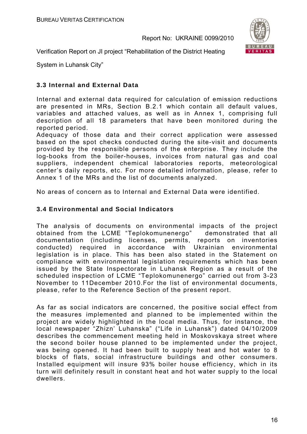

Verification Report on JI project "Rehabilitation of the District Heating

System in Luhansk City"

#### **3.3 Internal and External Data**

Internal and external data required for calculation of emission reductions are presented in MRs, Section B.2.1 which contain all default values, variables and attached values, as well as in Annex 1, comprising full description of all 18 parameters that have been monitored during the reported period.

Adequacy of those data and their correct application were assessed based on the spot checks conducted during the site-visit and documents provided by the responsible persons of the enterprise. They include the log-books from the boiler-houses, invoices from natural gas and coal suppliers, independent chemical laboratories reports, meteorological center's daily reports, etc. For more detailed information, please, refer to Annex 1 of the MRs and the list of documents analyzed.

No areas of concern as to Internal and External Data were identified.

#### **3.4 Environmental and Social Indicators**

The analysis of documents on environmental impacts of the project obtained from the LCME "Teplokomunenergo"demonstrated that all documentation (including licenses, permits, reports on inventories conducted) required in accordance with Ukrainian environmental legislation is in place. This has been also stated in the Statement on compliance with environmental legislation requirements which has been issued by the State Inspectorate in Luhansk Region as a result of the scheduled inspection of LCME "Teplokomunenergo" carried out from 3-23 November to 11December 2010.For the list of environmental documents, please, refer to the Reference Section of the present report.

As far as social indicators are concerned, the positive social effect from the measures implemented and planned to be implemented within the project are widely highlighted in the local media. Thus, for instance, the local newspaper "Zhizn' Luhanska" ("Life in Luhansk") dated 04/10/2009 describes the commencement meeting held in Moskovskaya street where the second boiler house planned to be implemented under the project, was being opened. It had been built to supply heat and hot water to 8 blocks of flats, social infrastructure buildings and other consumers. Installed equipment will insure 93% boiler house efficiency, which in its turn will definitely result in constant heat and hot water supply to the local dwellers.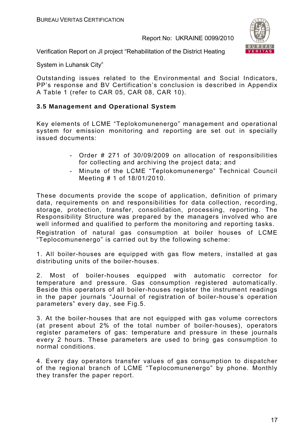

Verification Report on JI project "Rehabilitation of the District Heating

System in Luhansk City"

Outstanding issues related to the Environmental and Social Indicators, PP's response and BV Certification's conclusion is described in Appendix A Table 1 (refer to CAR 05, CAR 08, CAR 10).

#### **3.5 Management and Operational System**

Key elements of LCME "Teplokomunenergo" management and operational system for emission monitoring and reporting are set out in specially issued documents:

- Order # 271 of 30/09/2009 on allocation of responsibilities for collecting and archiving the project data; and
- Minute of the LCME "Teplokomunenergo" Technical Council Meeting # 1 of 18/01/2010.

These documents provide the scope of application, definition of primary data, requirements on and responsibilities for data collection, recording, storage, protection, transfer, consolidation, processing, reporting. The Responsibility Structure was prepared by the managers involved who are well informed and qualified to perform the monitoring and reporting tasks. Registration of natural gas consumption at boiler houses of LCME "Teplocomunenergo" is carried out by the following scheme:

1. All boiler-houses are equipped with gas flow meters, installed at gas distributing units of the boiler-houses.

2. Most of boiler-houses equipped with automatic corrector for temperature and pressure. Gas consumption registered automatically. Beside this operators of all boiler-houses register the instrument readings in the paper journals "Journal of registration of boiler-house's operation parameters" every day, see Fig.5.

3. At the boiler-houses that are not equipped with gas volume correctors (at present about 2% of the total number of boiler-houses), operators register parameters of gas: temperature and pressure in these journals every 2 hours. These parameters are used to bring gas consumption to normal conditions.

4. Every day operators transfer values of gas consumption to dispatcher of the regional branch of LCME "Teplocomunenergo" by phone. Monthly they transfer the paper report.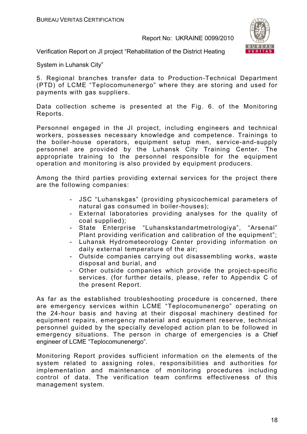

Verification Report on JI project "Rehabilitation of the District Heating

System in Luhansk City"

5. Regional branches transfer data to Production-Technical Department (PTD) of LCME "Teplocomunenergo" where they are storing and used for payments with gas suppliers.

Data collection scheme is presented at the Fig. 6. of the Monitoring Reports.

Personnel engaged in the JI project, including engineers and technical workers, possesses necessary knowledge and competence. Trainings to the boiler-house operators, equipment setup men, service-and-supply personnel are provided by the Luhansk City Training Center. The appropriate training to the personnel responsible for the equipment operation and monitoring is also provided by equipment producers.

Among the third parties providing external services for the project there are the following companies:

- JSC "Luhanskgas" (providing physicochemical parameters of natural gas consumed in boiler-houses);
- External laboratories providing analyses for the quality of coal supplied);
- State Enterprise "Luhanskstandartmetrologiya", "Arsenal" Plant providing verification and calibration of the equipment":
- Luhansk Hydrometeorology Center providing information on daily external temperature of the air;
- Outside companies carrying out disassembling works, waste disposal and burial, and
- Other outside companies which provide the project-specific services. (for further details, please, refer to Appendix C of the present Report.

As far as the established troubleshooting procedure is concerned, there are emergency services within LCME "Teplocomunenergo" operating on the 24-hour basis and having at their disposal machinery destined for equipment repairs, emergency material and equipment reserve, technical personnel guided by the specially developed action plan to be followed in emergency situations. The person in charge of emergencies is a Chief engineer of LCME "Teplocomunenergo".

Monitoring Report provides sufficient information on the elements of the system related to assigning roles, responsibilities and authorities for implementation and maintenance of monitoring procedures including control of data. The verification team confirms effectiveness of this management system.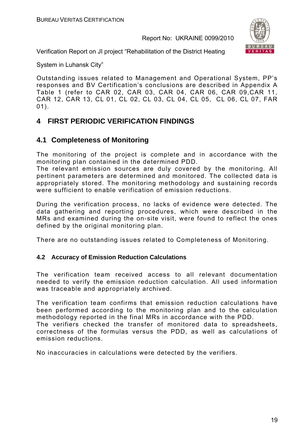

Verification Report on JI project "Rehabilitation of the District Heating

System in Luhansk City"

Outstanding issues related to Management and Operational System, PP's responses and BV Certification's conclusions are described in Appendix A Table 1 (refer to CAR 02, CAR 03, CAR 04, CAR 06, CAR 09,CAR 11, CAR 12, CAR 13, CL 01, CL 02, CL 03, CL 04, CL 05, CL 06, CL 07, FAR 01).

## **4 FIRST PERIODIC VERIFICATION FINDINGS**

## **4.1 Completeness of Monitoring**

The monitoring of the project is complete and in accordance with the monitoring plan contained in the determined PDD.

The relevant emission sources are duly covered by the monitoring. All pertinent parameters are determined and monitored. The collected data is appropriately stored. The monitoring methodology and sustaining records were sufficient to enable verification of emission reductions.

During the verification process, no lacks of evidence were detected. The data gathering and reporting procedures, which were described in the MRs and examined during the on-site visit, were found to reflect the ones defined by the original monitoring plan.

There are no outstanding issues related to Completeness of Monitoring.

#### **4.2 Accuracy of Emission Reduction Calculations**

The verification team received access to all relevant documentation needed to verify the emission reduction calculation. All used information was traceable and appropriately archived.

The verification team confirms that emission reduction calculations have been performed according to the monitoring plan and to the calculation methodology reported in the final MRs in accordance with the PDD. The verifiers checked the transfer of monitored data to spreadsheets, correctness of the formulas versus the PDD, as well as calculations of emission reductions.

No inaccuracies in calculations were detected by the verifiers.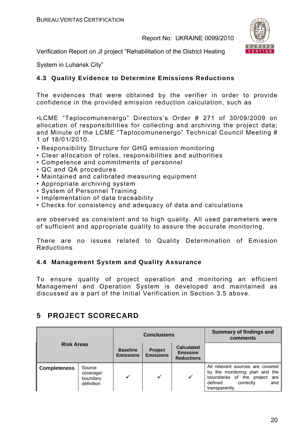

Verification Report on JI project "Rehabilitation of the District Heating

System in Luhansk City"

#### **4.3 Quality Evidence to Determine Emissions Reductions**

The evidences that were obtained by the verifier in order to provide confidence in the provided emission reduction calculation, such as

•LCME "Teplocomunenergo" Directors's Order # 271 of 30/09/2009 on allocation of responsibilities for collecting and archiving the project data; and Minute of the LCME "Teplocomunenergo" Technical Council Meeting # 1 of 18/01/2010.

- Responsibility Structure for GHG emission monitoring
- Clear allocation of roles, responsibilities and authorities
- Competence and commitments of personnel
- QC and QA procedures
- Maintained and calibrated measuring equipment
- Appropriate archiving system
- System of Personnel Training
- Implementation of data traceability
- Checks for consistency and adequacy of data and calculations

are observed as consistent and to high quality. All used parameters were of sufficient and appropriate quality to assure the accurate monitoring.

There are no issues related to Quality Determination of Emission Reductions.

#### **4.4 Management System and Quality Assurance**

To ensure quality of project operation and monitoring an efficient Management and Operation System is developed and maintained as discussed as a part of the Initial Verification in Section 3.5 above.

## **5 PROJECT SCORECARD**

| <b>Risk Areas</b>   |                                               | <b>Conclusions</b>                  |                                    |                                                           | <b>Summary of findings and</b><br>comments                                                                                                              |
|---------------------|-----------------------------------------------|-------------------------------------|------------------------------------|-----------------------------------------------------------|---------------------------------------------------------------------------------------------------------------------------------------------------------|
|                     |                                               | <b>Baseline</b><br><b>Emissions</b> | <b>Project</b><br><b>Emissions</b> | <b>Calculated</b><br><b>Emission</b><br><b>Reductions</b> |                                                                                                                                                         |
| <b>Completeness</b> | Source<br>coverage/<br>boundary<br>definition |                                     |                                    | ✓                                                         | All relevant sources are covered<br>by the monitoring plan and the<br>boundaries of the project<br>are<br>defined<br>correctly<br>and<br>transparently. |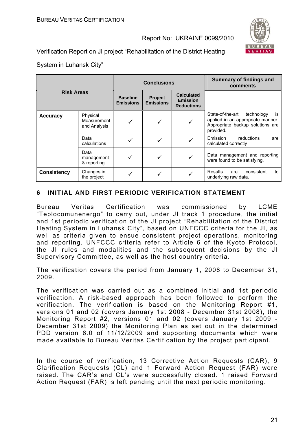

Verification Report on JI project "Rehabilitation of the District Heating

System in Luhansk City"

| <b>Risk Areas</b>  |                                         | <b>Conclusions</b>                  |                             |                                                           | Summary of findings and<br>comments                                                                                        |
|--------------------|-----------------------------------------|-------------------------------------|-----------------------------|-----------------------------------------------------------|----------------------------------------------------------------------------------------------------------------------------|
|                    |                                         | <b>Baseline</b><br><b>Emissions</b> | Project<br><b>Emissions</b> | <b>Calculated</b><br><b>Emission</b><br><b>Reductions</b> |                                                                                                                            |
| <b>Accuracy</b>    | Physical<br>Measurement<br>and Analysis |                                     |                             |                                                           | State-of-the-art<br>technology<br>is<br>applied in an appropriate manner.<br>Appropriate backup solutions are<br>provided. |
|                    | Data<br>calculations                    |                                     |                             |                                                           | Emission<br>reductions<br>are<br>calculated correctly                                                                      |
|                    | Data<br>management<br>& reporting       | ✓                                   |                             |                                                           | Data management and reporting<br>were found to be satisfying.                                                              |
| <b>Consistency</b> | Changes in<br>the project               |                                     |                             |                                                           | <b>Results</b><br>consistent<br>to<br>are<br>underlying raw data.                                                          |

#### **6 INITIAL AND FIRST PERIODIC VERIFICATION STATEMENT**

Bureau Veritas Certification was commissioned by LCME "Teplocomunenergo" to carry out, under JI track 1 procedure, the initial and 1st periodic verification of the JI project "Rehabilitation of the District Heating System in Luhansk City", based on UNFCCC criteria for the JI, as well as criteria given to ensue consistent project operations, monitoring and reporting. UNFCCC criteria refer to Article 6 of the Kyoto Protocol, the JI rules and modalities and the subsequent decisions by the JI Supervisory Committee, as well as the host country criteria.

The verification covers the period from January 1, 2008 to December 31, 2009.

The verification was carried out as a combined initial and 1st periodic verification. A risk-based approach has been followed to perform the verification. The verification is based on the Monitoring Report #1, versions 01 and 02 (covers January 1st 2008 - December 31st 2008), the Monitoring Report #2, versions 01 and 02 (covers January 1st 2009 - December 31st 2009) the Monitoring Plan as set out in the determined PDD version 6.0 of 11/12/2009 and supporting documents which were made available to Bureau Veritas Certification by the project participant.

In the course of verification, 13 Corrective Action Requests (CAR), 9 Clarification Requests (CL) and 1 Forward Action Request (FAR) were raised. The CAR's and CL's were successfully closed. 1 raised Forward Action Request (FAR) is left pending until the next periodic monitoring.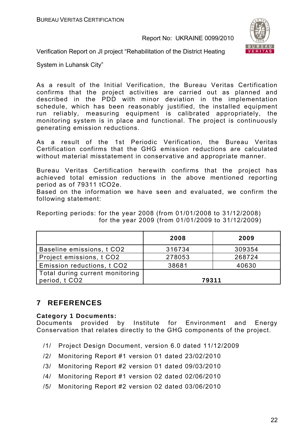

Verification Report on JI project "Rehabilitation of the District Heating

System in Luhansk City"

As a result of the Initial Verification, the Bureau Veritas Certification confirms that the project activities are carried out as planned and described in the PDD with minor deviation in the implementation schedule, which has been reasonably justified, the installed equipment run reliably, measuring equipment is calibrated appropriately, the monitoring system is in place and functional. The project is continuously generating emission reductions.

As a result of the 1st Periodic Verification, the Bureau Veritas Certification confirms that the GHG emission reductions are calculated without material misstatement in conservative and appropriate manner.

Bureau Veritas Certification herewith confirms that the project has achieved total emission reductions in the above mentioned reporting period as of 79311 tCO2e.

Based on the information we have seen and evaluated, we confirm the following statement:

Reporting periods: for the year 2008 (from 01/01/2008 to 31/12/2008) for the year 2009 (from 01/01/2009 to 31/12/2009)

|                                                  | 2008   | 2009   |
|--------------------------------------------------|--------|--------|
| Baseline emissions, t CO2                        | 316734 | 309354 |
| Project emissions, t CO2                         | 278053 | 268724 |
| Emission reductions, t CO2                       | 38681  | 40630  |
| Total during current monitoring<br>period, t CO2 | 79311  |        |

## **7 REFERENCES**

#### **Category 1 Documents:**

Documents provided by Institute for Environment and Energy Conservation that relates directly to the GHG components of the project.

- /1/ Project Design Document, version 6.0 dated 11/12/2009
- /2/ Monitoring Report #1 version 01 dated 23/02/2010
- /3/ Monitoring Report #2 version 01 dated 09/03/2010
- /4/ Monitoring Report #1 version 02 dated 02/06/2010
- /5/ Monitoring Report #2 version 02 dated 03/06/2010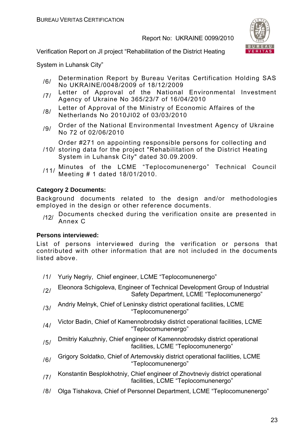

Verification Report on JI project "Rehabilitation of the District Heating

System in Luhansk City"

- /6/ Determination Report by Bureau Veritas Certification Holding SAS No UKRAINE/0048/2009 of 18/12/2009
- /7/ Letter of Approval of the National Environmental Investment Agency of Ukraine No 365/23/7 of 16/04/2010
- 18/ Letter of Approval of the Ministry of Economic Affaires of the Netherlands No 2010JI02 of 03/03/2010
- 19/ Order of the National Environmental Investment Agency of Ukraine No 72 of 02/06/2010

Order #271 on appointing responsible persons for collecting and

- /10/ storing data for the project "Rehabilitation of the District Heating System in Luhansk City" dated 30.09.2009.
- /11/ Minutes of the LCME "Teplocomunenergo" Technical Council Meeting # 1 dated 18/01/2010.

#### **Category 2 Documents:**

Background documents related to the design and/or methodologies employed in the design or other reference documents.

/12/ Documents checked during the verification onsite are presented in Annex C

#### **Persons interviewed:**

List of persons interviewed during the verification or persons that contributed with other information that are not included in the documents listed above.

- /1/ Yuriy Negriy, Chief engineer, LCME "Teplocomunenergo"
- /2/ Eleonora Schigoleva, Engineer of Technical Development Group of Industrial Safety Department, LCME "Teplocomunenergo"
- $/3/$  Andriy Melnyk, Chief of Leninsky district operational facilities, LCME "Teplocomunenergo"
- /4/ Victor Badin, Chief of Kamennobrodsky district operational facilities, LCME "Teplocomunenergo"
- /5/ Dmitriy Kaluzhniy, Chief engineer of Kamennobrodsky district operational facilities, LCME "Teplocomunenergo"
- /6/ Grigory Soldatko, Chief of Artemovskiy district operational facilities, LCME "Teplocomunenergo"
- /7/ Konstantin Besplokhotniy, Chief engineer of Zhovtneviy district operational facilities, LCME "Teplocomunenergo"
- /8/ Olga Tishakova, Chief of Personnel Department, LCME "Teplocomunenergo"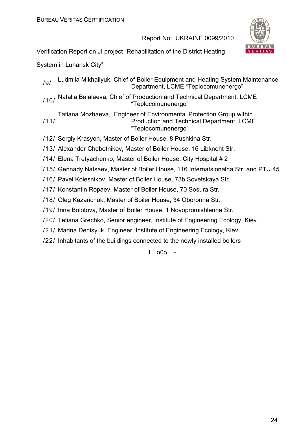

Verification Report on JI project "Rehabilitation of the District Heating

System in Luhansk City"

/9/ Ludmila Mikhailyuk, Chief of Boiler Equipment and Heating System Maintenance Department, LCME "Teplocomunenergo"

/10/ Natalia Balalaeva, Chief of Production and Technical Department, LCME "Teplocomunenergo"

/11/ Tatiana Mozhaeva, Engineer of Environmental Protection Group within Production and Technical Department, LCME "Teplocomunenergo"

/12/ Sergiy Krasyon, Master of Boiler House, 8 Pushkina Str.

/13/ Alexander Chebotnikov, Master of Boiler House, 16 Libkneht Str.

- /14/ Elena Tretyachenko, Master of Boiler House, City Hospital # 2
- /15/ Gennady Natsaev, Master of Boiler House, 116 Internatsionalna Str. and PTU 45
- /16/ Pavel Kolesnikov, Master of Boiler House, 73b Sovetskaya Str.
- /17/ Konstantin Ropaev, Master of Boiler House, 70 Sosura Str.
- /18/ Oleg Kazanchuk, Master of Boiler House, 34 Oboronna Str.
- /19/ Irina Bolotova, Master of Boiler House, 1 Novopromishlenna Str.
- /20/ Tetiana Grechko, Senior engineer, Institute of Engineering Ecology, Kiev
- /21/ Marina Denisyuk, Engineer, Institute of Engineering Ecology, Kiev
- /22/ Inhabitants of the buildings connected to the newly installed boilers

1. o0o -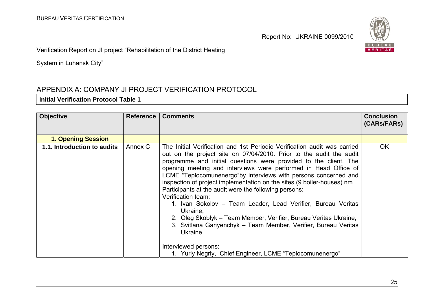

Verification Report on JI project "Rehabilitation of the District Heating

System in Luhansk City"

## APPENDIX A: COMPANY JI PROJECT VERIFICATION PROTOCOL

#### **Initial Verification Protocol Table 1**

| <b>Objective</b>            | <b>Reference</b> | <b>Comments</b>                                                                                                                                                                                                                                                                                                                                                                                                                                                                                                                                                                                                                                                                                                                                                                                                                             | <b>Conclusion</b><br>(CARs/FARs) |
|-----------------------------|------------------|---------------------------------------------------------------------------------------------------------------------------------------------------------------------------------------------------------------------------------------------------------------------------------------------------------------------------------------------------------------------------------------------------------------------------------------------------------------------------------------------------------------------------------------------------------------------------------------------------------------------------------------------------------------------------------------------------------------------------------------------------------------------------------------------------------------------------------------------|----------------------------------|
| <b>1. Opening Session</b>   |                  |                                                                                                                                                                                                                                                                                                                                                                                                                                                                                                                                                                                                                                                                                                                                                                                                                                             |                                  |
| 1.1. Introduction to audits | Annex C          | The Initial Verification and 1st Periodic Verification audit was carried<br>out on the project site on 07/04/2010. Prior to the audit the audit<br>programme and initial questions were provided to the client. The<br>opening meeting and interviews were performed in Head Office of<br>LCME "Teplocomunenergo"by interviews with persons concerned and<br>inspection of project implementation on the sites (9 boiler-houses).nm<br>Participants at the audit were the following persons:<br>Verification team:<br>1. Ivan Sokolov – Team Leader, Lead Verifier, Bureau Veritas<br>Ukraine,<br>2. Oleg Skoblyk – Team Member, Verifier, Bureau Veritas Ukraine,<br>3. Svitlana Gariyenchyk – Team Member, Verifier, Bureau Veritas<br><b>Ukraine</b><br>Interviewed persons:<br>1. Yuriy Negriy, Chief Engineer, LCME "Teplocomunenergo" | <b>OK</b>                        |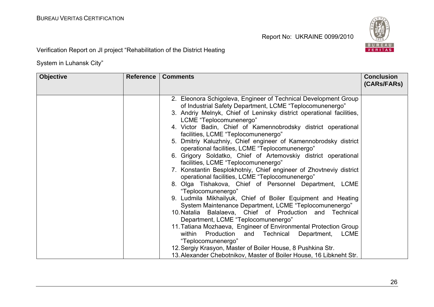

Verification Report on JI project "Rehabilitation of the District Heating

| <b>Objective</b> | <b>Reference</b> | <b>Comments</b>                                                                                                                                                                                                                                                                                                                                                                                                                                                                                                                                                                                                                                                                                                                                                                                                                                                                                                                                                                                                                                                                                                                                                                 | <b>Conclusion</b><br>(CARs/FARs) |
|------------------|------------------|---------------------------------------------------------------------------------------------------------------------------------------------------------------------------------------------------------------------------------------------------------------------------------------------------------------------------------------------------------------------------------------------------------------------------------------------------------------------------------------------------------------------------------------------------------------------------------------------------------------------------------------------------------------------------------------------------------------------------------------------------------------------------------------------------------------------------------------------------------------------------------------------------------------------------------------------------------------------------------------------------------------------------------------------------------------------------------------------------------------------------------------------------------------------------------|----------------------------------|
|                  |                  | 2. Eleonora Schigoleva, Engineer of Technical Development Group<br>of Industrial Safety Department, LCME "Teplocomunenergo"<br>3. Andriy Melnyk, Chief of Leninsky district operational facilities,<br>LCME "Teplocomunenergo"<br>4. Victor Badin, Chief of Kamennobrodsky district operational<br>facilities, LCME "Teplocomunenergo"<br>5. Dmitriy Kaluzhniy, Chief engineer of Kamennobrodsky district<br>operational facilities, LCME "Teplocomunenergo"<br>6. Grigory Soldatko, Chief of Artemovskiy district operational<br>facilities, LCME "Teplocomunenergo"<br>7. Konstantin Besplokhotniy, Chief engineer of Zhovtneviy district<br>operational facilities, LCME "Teplocomunenergo"<br>8. Olga Tishakova, Chief of Personnel Department, LCME<br>"Teplocomunenergo"<br>9. Ludmila Mikhailyuk, Chief of Boiler Equipment and Heating<br>System Maintenance Department, LCME "Teplocomunenergo"<br>10. Natalia Balalaeva, Chief of Production and Technical<br>Department, LCME "Teplocomunenergo"<br>11. Tatiana Mozhaeva, Engineer of Environmental Protection Group<br>Production<br><b>LCME</b><br>within<br>Department,<br>Technical<br>and<br>"Teplocomunenergo" |                                  |
|                  |                  | 12. Sergiy Krasyon, Master of Boiler House, 8 Pushkina Str.<br>13. Alexander Chebotnikov, Master of Boiler House, 16 Libkneht Str.                                                                                                                                                                                                                                                                                                                                                                                                                                                                                                                                                                                                                                                                                                                                                                                                                                                                                                                                                                                                                                              |                                  |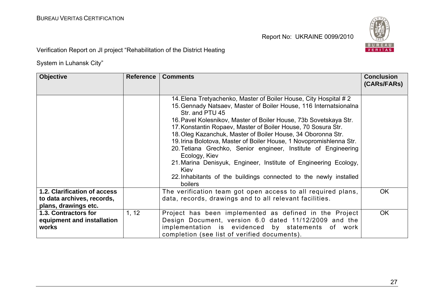

Verification Report on JI project "Rehabilitation of the District Heating

| <b>Objective</b>                                                                   | <b>Reference</b> | <b>Comments</b>                                                                                                                                                                                                                                                                                                                                                                                                                                                                                                                                                                                                                                                                                     | <b>Conclusion</b><br>(CARS/FARS) |
|------------------------------------------------------------------------------------|------------------|-----------------------------------------------------------------------------------------------------------------------------------------------------------------------------------------------------------------------------------------------------------------------------------------------------------------------------------------------------------------------------------------------------------------------------------------------------------------------------------------------------------------------------------------------------------------------------------------------------------------------------------------------------------------------------------------------------|----------------------------------|
|                                                                                    |                  | 14. Elena Tretyachenko, Master of Boiler House, City Hospital # 2<br>15. Gennady Natsaev, Master of Boiler House, 116 Internatsionalna<br>Str. and PTU 45<br>16. Pavel Kolesnikov, Master of Boiler House, 73b Sovetskaya Str.<br>17. Konstantin Ropaev, Master of Boiler House, 70 Sosura Str.<br>18. Oleg Kazanchuk, Master of Boiler House, 34 Oboronna Str.<br>19. Irina Bolotova, Master of Boiler House, 1 Novopromishlenna Str.<br>20. Tetiana Grechko, Senior engineer, Institute of Engineering<br>Ecology, Kiev<br>21. Marina Denisyuk, Engineer, Institute of Engineering Ecology,<br><b>Kiev</b><br>22. Inhabitants of the buildings connected to the newly installed<br><b>boilers</b> |                                  |
| 1.2. Clarification of access<br>to data archives, records,<br>plans, drawings etc. |                  | The verification team got open access to all required plans,<br>data, records, drawings and to all relevant facilities.                                                                                                                                                                                                                                                                                                                                                                                                                                                                                                                                                                             | <b>OK</b>                        |
| 1.3. Contractors for<br>equipment and installation<br>works                        | 1, 12            | Project has been implemented as defined in the Project<br>Design Document, version 6.0 dated 11/12/2009 and the<br>implementation is evidenced by statements of work<br>completion (see list of verified documents).                                                                                                                                                                                                                                                                                                                                                                                                                                                                                | <b>OK</b>                        |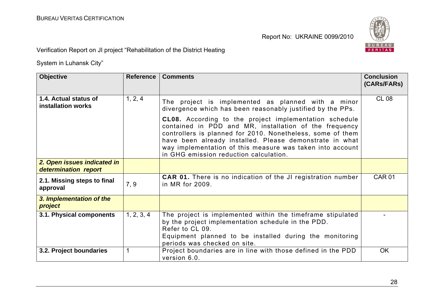

Verification Report on JI project "Rehabilitation of the District Heating

| <b>Objective</b>                                    | <b>Reference</b> | <b>Comments</b>                                                                                                                                                                                                                                                                                                                                                                                                                                                             | <b>Conclusion</b><br>(CARs/FARs) |
|-----------------------------------------------------|------------------|-----------------------------------------------------------------------------------------------------------------------------------------------------------------------------------------------------------------------------------------------------------------------------------------------------------------------------------------------------------------------------------------------------------------------------------------------------------------------------|----------------------------------|
| 1.4. Actual status of<br>installation works         | 1, 2, 4          | The project is implemented as planned with a minor<br>divergence which has been reasonably justified by the PPs.<br><b>CL08.</b> According to the project implementation schedule<br>contained in PDD and MR, installation of the frequency<br>controllers is planned for 2010. Nonetheless, some of them<br>have been already installed. Please demonstrate in what<br>way implementation of this measure was taken into account<br>in GHG emission reduction calculation. | <b>CL 08</b>                     |
| 2. Open issues indicated in<br>determination report |                  |                                                                                                                                                                                                                                                                                                                                                                                                                                                                             |                                  |
| 2.1. Missing steps to final<br>approval             | 7, 9             | <b>CAR 01.</b> There is no indication of the JI registration number<br>in MR for 2009.                                                                                                                                                                                                                                                                                                                                                                                      | <b>CAR 01</b>                    |
| 3. Implementation of the<br>project                 |                  |                                                                                                                                                                                                                                                                                                                                                                                                                                                                             |                                  |
| 3.1. Physical components                            | 1, 2, 3, 4       | The project is implemented within the timeframe stipulated<br>by the project implementation schedule in the PDD.<br>Refer to CL 09.<br>Equipment planned to be installed during the monitoring<br>periods was checked on site.                                                                                                                                                                                                                                              |                                  |
| 3.2. Project boundaries                             | 1                | Project boundaries are in line with those defined in the PDD<br>version 6.0.                                                                                                                                                                                                                                                                                                                                                                                                | OK                               |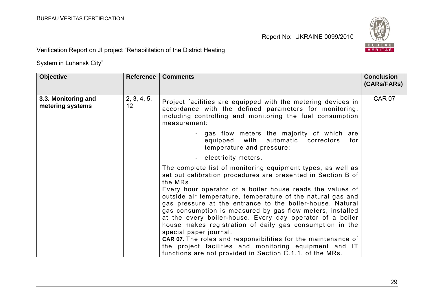

Verification Report on JI project "Rehabilitation of the District Heating

| <b>Objective</b>                        | Reference         | <b>Comments</b>                                                                                                                                                                                                                                                                                                                  | <b>Conclusion</b><br>(CARs/FARs) |
|-----------------------------------------|-------------------|----------------------------------------------------------------------------------------------------------------------------------------------------------------------------------------------------------------------------------------------------------------------------------------------------------------------------------|----------------------------------|
| 3.3. Monitoring and<br>metering systems | 2, 3, 4, 5,<br>12 | Project facilities are equipped with the metering devices in<br>accordance with the defined parameters for monitoring,<br>including controlling and monitoring the fuel consumption<br>measurement:                                                                                                                              | <b>CAR 07</b>                    |
|                                         |                   | - gas flow meters the majority of which are<br>with<br>automatic<br>equipped<br>correctors<br>for<br>temperature and pressure;                                                                                                                                                                                                   |                                  |
|                                         |                   | electricity meters.                                                                                                                                                                                                                                                                                                              |                                  |
|                                         |                   | The complete list of monitoring equipment types, as well as<br>set out calibration procedures are presented in Section B of<br>the MRs.<br>Every hour operator of a boiler house reads the values of<br>outside air temperature, temperature of the natural gas and<br>gas pressure at the entrance to the boiler-house. Natural |                                  |
|                                         |                   | gas consumption is measured by gas flow meters, installed<br>at the every boiler-house. Every day operator of a boiler<br>house makes registration of daily gas consumption in the<br>special paper journal.                                                                                                                     |                                  |
|                                         |                   | CAR 07. The roles and responsibilities for the maintenance of<br>the project facilities and monitoring equipment and IT<br>functions are not provided in Section C.1.1. of the MRs.                                                                                                                                              |                                  |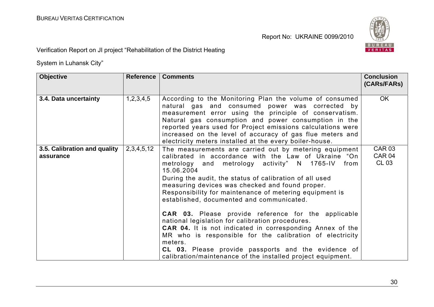

Verification Report on JI project "Rehabilitation of the District Heating

| <b>Objective</b>                          | Reference      | <b>Comments</b>                                                                                                                                                                                                                                                                                                                                                                                                                                                                                                                                                                                                                                                                                                                                                                              | <b>Conclusion</b><br>(CARs/FARs) |
|-------------------------------------------|----------------|----------------------------------------------------------------------------------------------------------------------------------------------------------------------------------------------------------------------------------------------------------------------------------------------------------------------------------------------------------------------------------------------------------------------------------------------------------------------------------------------------------------------------------------------------------------------------------------------------------------------------------------------------------------------------------------------------------------------------------------------------------------------------------------------|----------------------------------|
| 3.4. Data uncertainty                     | 1,2,3,4,5      | According to the Monitoring Plan the volume of consumed<br>natural gas and consumed power was corrected by<br>measurement error using the principle of conservatism.<br>Natural gas consumption and power consumption in the<br>reported years used for Project emissions calculations were<br>increased on the level of accuracy of gas flue meters and<br>electricity meters installed at the every boiler-house.                                                                                                                                                                                                                                                                                                                                                                          | <b>OK</b>                        |
| 3.5. Calibration and quality<br>assurance | 2, 3, 4, 5, 12 | The measurements are carried out by metering equipment<br>calibrated in accordance with the Law of Ukraine "On<br>metrology and metrology activity" N 1765-IV<br>from<br>15.06.2004<br>During the audit, the status of calibration of all used<br>measuring devices was checked and found proper.<br>Responsibility for maintenance of metering equipment is<br>established, documented and communicated.<br><b>CAR 03.</b> Please provide reference for the applicable<br>national legislation for calibration procedures.<br>CAR 04. It is not indicated in corresponding Annex of the<br>MR who is responsible for the calibration of electricity<br>meters.<br><b>CL 03.</b> Please provide passports and the evidence of<br>calibration/maintenance of the installed project equipment. | <b>CAR 03</b><br>CAR 04<br>CL 03 |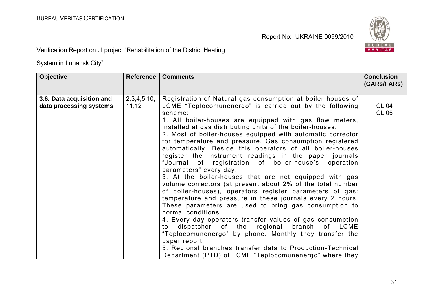

Verification Report on JI project "Rehabilitation of the District Heating

| <b>Objective</b>                                     | <b>Reference</b>     | <b>Comments</b>                                                                                                                                                                                                                                                                                                                                                                                                                                                                                                                                                                                                                                                                                                                                                                                                                                                                                                                                                                                                                                                                                                            | <b>Conclusion</b><br>(CARs/FARs) |
|------------------------------------------------------|----------------------|----------------------------------------------------------------------------------------------------------------------------------------------------------------------------------------------------------------------------------------------------------------------------------------------------------------------------------------------------------------------------------------------------------------------------------------------------------------------------------------------------------------------------------------------------------------------------------------------------------------------------------------------------------------------------------------------------------------------------------------------------------------------------------------------------------------------------------------------------------------------------------------------------------------------------------------------------------------------------------------------------------------------------------------------------------------------------------------------------------------------------|----------------------------------|
| 3.6. Data acquisition and<br>data processing systems | 2,3,4,5,10,<br>11,12 | Registration of Natural gas consumption at boiler houses of<br>LCME "Teplocomunenergo" is carried out by the following<br>scheme:<br>1. All boiler-houses are equipped with gas flow meters,<br>installed at gas distributing units of the boiler-houses.<br>2. Most of boiler-houses equipped with automatic corrector<br>for temperature and pressure. Gas consumption registered<br>automatically. Beside this operators of all boiler-houses<br>register the instrument readings in the paper journals<br>"Journal of registration of boiler-house's operation<br>parameters" every day.<br>3. At the boiler-houses that are not equipped with gas<br>volume correctors (at present about 2% of the total number<br>of boiler-houses), operators register parameters of gas:<br>temperature and pressure in these journals every 2 hours.<br>These parameters are used to bring gas consumption to<br>normal conditions.<br>4. Every day operators transfer values of gas consumption<br>dispatcher of the regional branch<br>of LCME<br>to<br>"Teplocomunenergo" by phone. Monthly they transfer the<br>paper report. | <b>CL 04</b><br><b>CL 05</b>     |
|                                                      |                      | 5. Regional branches transfer data to Production-Technical<br>Department (PTD) of LCME "Teplocomunenergo" where they                                                                                                                                                                                                                                                                                                                                                                                                                                                                                                                                                                                                                                                                                                                                                                                                                                                                                                                                                                                                       |                                  |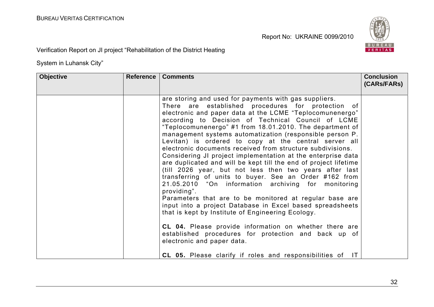

Verification Report on JI project "Rehabilitation of the District Heating

| <b>Objective</b> | Reference | <b>Comments</b>                                                                                                                                                                                                                                                                                                                                                                                                                                                                                                                                                                                                                                                                                                                                                                                                                                                                                                                                                                                                                                                                                                                                                                                                           | <b>Conclusion</b><br>(CARs/FARs) |
|------------------|-----------|---------------------------------------------------------------------------------------------------------------------------------------------------------------------------------------------------------------------------------------------------------------------------------------------------------------------------------------------------------------------------------------------------------------------------------------------------------------------------------------------------------------------------------------------------------------------------------------------------------------------------------------------------------------------------------------------------------------------------------------------------------------------------------------------------------------------------------------------------------------------------------------------------------------------------------------------------------------------------------------------------------------------------------------------------------------------------------------------------------------------------------------------------------------------------------------------------------------------------|----------------------------------|
|                  |           | are storing and used for payments with gas suppliers.<br>There are established procedures for protection of<br>electronic and paper data at the LCME "Teplocomunenergo"<br>according to Decision of Technical Council of LCME<br>"Teplocomunenergo" #1 from 18.01.2010. The department of<br>management systems automatization (responsible person P.<br>Levitan) is ordered to copy at the central server all<br>electronic documents received from structure subdivisions.<br>Considering JI project implementation at the enterprise data<br>are duplicated and will be kept till the end of project lifetime<br>(till 2026 year, but not less then two years after last<br>transferring of units to buyer. See an Order #162 from<br>21.05.2010 "On information archiving for monitoring<br>providing".<br>Parameters that are to be monitored at regular base are<br>input into a project Database in Excel based spreadsheets<br>that is kept by Institute of Engineering Ecology.<br>CL 04. Please provide information on whether there are<br>established procedures for protection and back up of<br>electronic and paper data.<br><b>CL 05.</b> Please clarify if roles and responsibilities of<br>$\mathsf{I}$ |                                  |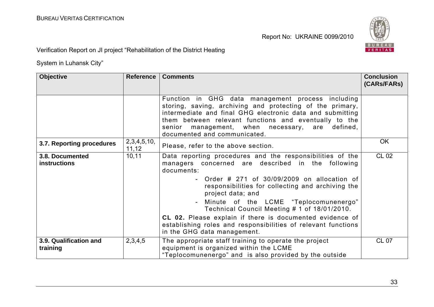

Verification Report on JI project "Rehabilitation of the District Heating

| <b>Objective</b>                       | Reference                | <b>Comments</b>                                                                                                                                                                                                                                                                                                                                                                                                                                                                                                | <b>Conclusion</b><br>(CARs/FARs) |
|----------------------------------------|--------------------------|----------------------------------------------------------------------------------------------------------------------------------------------------------------------------------------------------------------------------------------------------------------------------------------------------------------------------------------------------------------------------------------------------------------------------------------------------------------------------------------------------------------|----------------------------------|
|                                        |                          | Function in GHG data management process including<br>storing, saving, archiving and protecting of the primary,<br>intermediate and final GHG electronic data and submitting<br>them between relevant functions and eventually to the<br>senior management, when necessary, are defined,<br>documented and communicated.                                                                                                                                                                                        |                                  |
| 3.7. Reporting procedures              | 2, 3, 4, 5, 10,<br>11,12 | Please, refer to the above section.                                                                                                                                                                                                                                                                                                                                                                                                                                                                            | <b>OK</b>                        |
| 3.8. Documented<br><b>instructions</b> | 10, 11                   | Data reporting procedures and the responsibilities of the<br>managers concerned are described in the following<br>documents:<br>- Order $\#$ 271 of 30/09/2009 on allocation of<br>responsibilities for collecting and archiving the<br>project data; and<br>Minute of the LCME "Teplocomunenergo"<br>Technical Council Meeting # 1 of 18/01/2010.<br>CL 02. Please explain if there is documented evidence of<br>establishing roles and responsibilities of relevant functions<br>in the GHG data management. | <b>CL 02</b>                     |
| 3.9. Qualification and<br>training     | 2,3,4,5                  | The appropriate staff training to operate the project<br>equipment is organized within the LCME<br>"Teplocomunenergo" and is also provided by the outside                                                                                                                                                                                                                                                                                                                                                      | <b>CL 07</b>                     |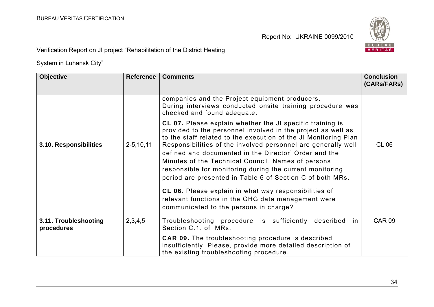

Verification Report on JI project "Rehabilitation of the District Heating

| <b>Objective</b>                    | <b>Reference</b> | <b>Comments</b>                                                                                                                                                                                                                                                                                                                                                                                                                                                | <b>Conclusion</b><br>(CARs/FARs) |
|-------------------------------------|------------------|----------------------------------------------------------------------------------------------------------------------------------------------------------------------------------------------------------------------------------------------------------------------------------------------------------------------------------------------------------------------------------------------------------------------------------------------------------------|----------------------------------|
|                                     |                  | companies and the Project equipment producers.<br>During interviews conducted onsite training procedure was<br>checked and found adequate.                                                                                                                                                                                                                                                                                                                     |                                  |
|                                     |                  | CL 07. Please explain whether the JI specific training is<br>provided to the personnel involved in the project as well as<br>to the staff related to the execution of the JI Monitoring Plan                                                                                                                                                                                                                                                                   |                                  |
| 3.10. Responsibilities              | $2 - 5, 10, 11$  | Responsibilities of the involved personnel are generally well<br>defined and documented in the Director' Order and the<br>Minutes of the Technical Council. Names of persons<br>responsible for monitoring during the current monitoring<br>period are presented in Table 6 of Section C of both MRs.<br>CL 06. Please explain in what way responsibilities of<br>relevant functions in the GHG data management were<br>communicated to the persons in charge? | <b>CL 06</b>                     |
| 3.11. Troubleshooting<br>procedures | 2,3,4,5          | Troubleshooting procedure is sufficiently<br>described<br>.in<br>Section C.1. of MRs.                                                                                                                                                                                                                                                                                                                                                                          | <b>CAR 09</b>                    |
|                                     |                  | <b>CAR 09.</b> The troubleshooting procedure is described<br>insufficiently. Please, provide more detailed description of<br>the existing troubleshooting procedure.                                                                                                                                                                                                                                                                                           |                                  |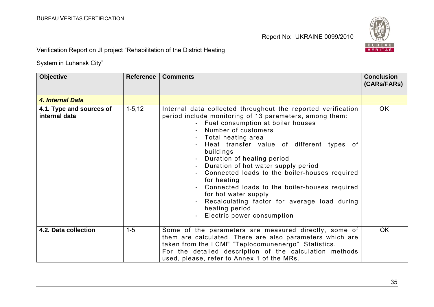

Verification Report on JI project "Rehabilitation of the District Heating

| <b>Objective</b>                          | <b>Reference</b> | <b>Comments</b>                                                                                                                                                                                                                                                                                                                                                                                                                                                                                                                                                                     | <b>Conclusion</b><br>(CARs/FARs) |
|-------------------------------------------|------------------|-------------------------------------------------------------------------------------------------------------------------------------------------------------------------------------------------------------------------------------------------------------------------------------------------------------------------------------------------------------------------------------------------------------------------------------------------------------------------------------------------------------------------------------------------------------------------------------|----------------------------------|
| 4. Internal Data                          |                  |                                                                                                                                                                                                                                                                                                                                                                                                                                                                                                                                                                                     |                                  |
| 4.1. Type and sources of<br>internal data | $1 - 5, 12$      | Internal data collected throughout the reported verification<br>period include monitoring of 13 parameters, among them:<br>- Fuel consumption at boiler houses<br>Number of customers<br>Total heating area<br>Heat transfer value of different types of<br>buildings<br>Duration of heating period<br>Duration of hot water supply period<br>Connected loads to the boiler-houses required<br>for heating<br>Connected loads to the boiler-houses required<br>for hot water supply<br>Recalculating factor for average load during<br>heating period<br>Electric power consumption | OK.                              |
| 4.2. Data collection                      | $1-5$            | Some of the parameters are measured directly, some of<br>them are calculated. There are also parameters which are<br>taken from the LCME "Teplocomunenergo" Statistics.<br>For the detailed description of the calculation methods<br>used, please, refer to Annex 1 of the MRs.                                                                                                                                                                                                                                                                                                    | <b>OK</b>                        |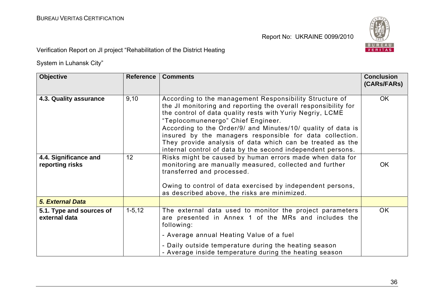

Verification Report on JI project "Rehabilitation of the District Heating

| <b>Objective</b>                          | <b>Reference</b> | <b>Comments</b>                                                                                                                                                                                                                                                                                                                                                                                                                                                                      | <b>Conclusion</b><br>(CARs/FARs) |
|-------------------------------------------|------------------|--------------------------------------------------------------------------------------------------------------------------------------------------------------------------------------------------------------------------------------------------------------------------------------------------------------------------------------------------------------------------------------------------------------------------------------------------------------------------------------|----------------------------------|
| 4.3. Quality assurance                    | 9,10             | According to the management Responsibility Structure of<br>the JI monitoring and reporting the overall responsibility for<br>the control of data quality rests with Yuriy Negriy, LCME<br>"Teplocomunenergo" Chief Engineer.<br>According to the Order/9/ and Minutes/10/ quality of data is<br>insured by the managers responsible for data collection.<br>They provide analysis of data which can be treated as the<br>internal control of data by the second independent persons. | <b>OK</b>                        |
| 4.4. Significance and<br>reporting risks  | 12               | Risks might be caused by human errors made when data for<br>monitoring are manually measured, collected and further<br>transferred and processed.<br>Owing to control of data exercised by independent persons,<br>as described above, the risks are minimized.                                                                                                                                                                                                                      | <b>OK</b>                        |
| <b>5. External Data</b>                   |                  |                                                                                                                                                                                                                                                                                                                                                                                                                                                                                      |                                  |
| 5.1. Type and sources of<br>external data | $1 - 5, 12$      | The external data used to monitor the project parameters<br>are presented in Annex 1 of the MRs and includes the<br>following:<br>- Average annual Heating Value of a fuel<br>- Daily outside temperature during the heating season<br>- Average inside temperature during the heating season                                                                                                                                                                                        | <b>OK</b>                        |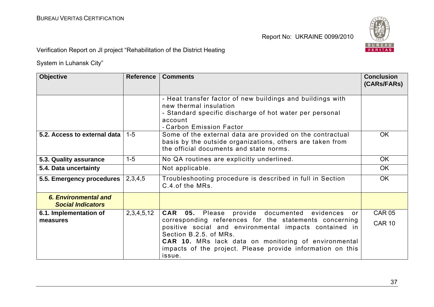

Verification Report on JI project "Rehabilitation of the District Heating

| <b>Objective</b>                                 | <b>Reference</b> | <b>Comments</b>                                                                                                                                                                                                                                                                                                                                      | <b>Conclusion</b><br>(CARs/FARs) |
|--------------------------------------------------|------------------|------------------------------------------------------------------------------------------------------------------------------------------------------------------------------------------------------------------------------------------------------------------------------------------------------------------------------------------------------|----------------------------------|
|                                                  |                  | - Heat transfer factor of new buildings and buildings with<br>new thermal insulation<br>- Standard specific discharge of hot water per personal<br>account<br>- Carbon Emission Factor                                                                                                                                                               |                                  |
| 5.2. Access to external data                     | $1 - 5$          | Some of the external data are provided on the contractual<br>basis by the outside organizations, others are taken from<br>the official documents and state norms.                                                                                                                                                                                    | <b>OK</b>                        |
| 5.3. Quality assurance                           | $1-5$            | No QA routines are explicitly underlined.                                                                                                                                                                                                                                                                                                            | <b>OK</b>                        |
| 5.4. Data uncertainty                            |                  | Not applicable.                                                                                                                                                                                                                                                                                                                                      | <b>OK</b>                        |
| 5.5. Emergency procedures                        | 2,3,4,5          | Troubleshooting procedure is described in full in Section<br>C.4. of the MRs.                                                                                                                                                                                                                                                                        | <b>OK</b>                        |
| 6. Environmental and<br><b>Social Indicators</b> |                  |                                                                                                                                                                                                                                                                                                                                                      |                                  |
| 6.1. Implementation of<br>measures               | 2,3,4,5,12       | provide documented evidences<br><b>CAR</b><br>05. Please<br>or.<br>corresponding references for the statements concerning<br>positive social and environmental impacts contained in<br>Section B.2.5. of MRs.<br><b>CAR 10.</b> MRs lack data on monitoring of environmental<br>impacts of the project. Please provide information on this<br>issue. | <b>CAR 05</b><br><b>CAR 10</b>   |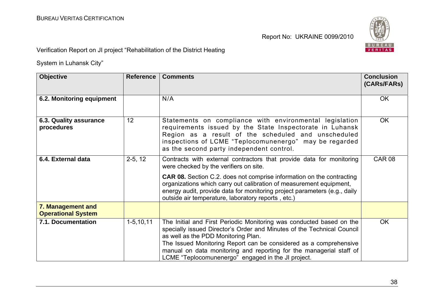

Verification Report on JI project "Rehabilitation of the District Heating

| <b>Objective</b>                               | <b>Reference</b> | <b>Comments</b>                                                                                                                                                                                                                                                                                                                                                                                          | <b>Conclusion</b><br>(CARs/FARs) |
|------------------------------------------------|------------------|----------------------------------------------------------------------------------------------------------------------------------------------------------------------------------------------------------------------------------------------------------------------------------------------------------------------------------------------------------------------------------------------------------|----------------------------------|
| 6.2. Monitoring equipment                      |                  | N/A                                                                                                                                                                                                                                                                                                                                                                                                      | <b>OK</b>                        |
| 6.3. Quality assurance<br>procedures           | 12               | Statements on compliance with environmental legislation<br>requirements issued by the State Inspectorate in Luhansk<br>Region as a result of the scheduled and unscheduled<br>inspections of LCME "Teplocomunenergo" may be regarded<br>as the second party independent control.                                                                                                                         | <b>OK</b>                        |
| 6.4. External data                             | $2-5, 12$        | Contracts with external contractors that provide data for monitoring<br>were checked by the verifiers on site.<br><b>CAR 08.</b> Section C.2. does not comprise information on the contracting<br>organizations which carry out calibration of measurement equipment,<br>energy audit, provide data for monitoring project parameters (e.g., daily<br>outside air temperature, laboratory reports, etc.) | <b>CAR 08</b>                    |
| 7. Management and<br><b>Operational System</b> |                  |                                                                                                                                                                                                                                                                                                                                                                                                          |                                  |
| 7.1. Documentation                             | $1 - 5, 10, 11$  | The Initial and First Periodic Monitoring was conducted based on the<br>specially issued Director's Order and Minutes of the Technical Council<br>as well as the PDD Monitoring Plan.<br>The Issued Monitoring Report can be considered as a comprehensive<br>manual on data monitoring and reporting for the managerial staff of<br>LCME "Teplocomunenergo" engaged in the JI project.                  | <b>OK</b>                        |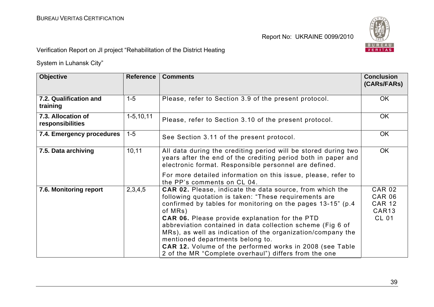

Verification Report on JI project "Rehabilitation of the District Heating

| <b>Objective</b>                       | <b>Reference</b> | <b>Comments</b>                                                                                                                                                                                                                                                                                                                                                                                                                                                                                                                                           | <b>Conclusion</b><br>(CARs/FARs)                                                     |
|----------------------------------------|------------------|-----------------------------------------------------------------------------------------------------------------------------------------------------------------------------------------------------------------------------------------------------------------------------------------------------------------------------------------------------------------------------------------------------------------------------------------------------------------------------------------------------------------------------------------------------------|--------------------------------------------------------------------------------------|
| 7.2. Qualification and<br>training     | $1 - 5$          | Please, refer to Section 3.9 of the present protocol.                                                                                                                                                                                                                                                                                                                                                                                                                                                                                                     | <b>OK</b>                                                                            |
| 7.3. Allocation of<br>responsibilities | $1-5, 10, 11$    | Please, refer to Section 3.10 of the present protocol.                                                                                                                                                                                                                                                                                                                                                                                                                                                                                                    | <b>OK</b>                                                                            |
| 7.4. Emergency procedures              | $1 - 5$          | See Section 3.11 of the present protocol.                                                                                                                                                                                                                                                                                                                                                                                                                                                                                                                 | <b>OK</b>                                                                            |
| 7.5. Data archiving                    | 10, 11           | All data during the crediting period will be stored during two<br>years after the end of the crediting period both in paper and<br>electronic format. Responsible personnel are defined.                                                                                                                                                                                                                                                                                                                                                                  | <b>OK</b>                                                                            |
|                                        |                  | For more detailed information on this issue, please, refer to<br>the PP's comments on CL 04.                                                                                                                                                                                                                                                                                                                                                                                                                                                              |                                                                                      |
| 7.6. Monitoring report                 | 2,3,4,5          | <b>CAR 02.</b> Please, indicate the data source, from which the<br>following quotation is taken: "These requirements are<br>confirmed by tables for monitoring on the pages 13-15" (p.4)<br>of MRs)<br><b>CAR 06.</b> Please provide explanation for the PTD<br>abbreviation contained in data collection scheme (Fig 6 of<br>MRs), as well as indication of the organization/company the<br>mentioned departments belong to.<br><b>CAR 12.</b> Volume of the performed works in 2008 (see Table<br>2 of the MR "Complete overhaul") differs from the one | <b>CAR 02</b><br><b>CAR 06</b><br><b>CAR 12</b><br>CAR <sub>13</sub><br><b>CL 01</b> |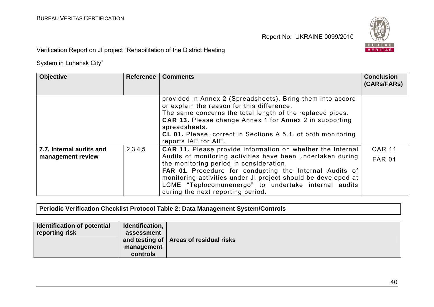

Verification Report on JI project "Rehabilitation of the District Heating

System in Luhansk City"

| <b>Objective</b>         | <b>Reference</b> | <b>Comments</b>                                                                                                                                                                                                                                                                                                                                         | <b>Conclusion</b><br>(CARS/FARS) |
|--------------------------|------------------|---------------------------------------------------------------------------------------------------------------------------------------------------------------------------------------------------------------------------------------------------------------------------------------------------------------------------------------------------------|----------------------------------|
|                          |                  | provided in Annex 2 (Spreadsheets). Bring them into accord<br>or explain the reason for this difference.<br>The same concerns the total length of the replaced pipes.<br><b>CAR 13.</b> Please change Annex 1 for Annex 2 in supporting<br>spreadsheets.<br><b>CL 01.</b> Please, correct in Sections A.5.1. of both monitoring<br>reports IAE for AIE. |                                  |
| 7.7. Internal audits and | 2,3,4,5          | <b>CAR 11.</b> Please provide information on whether the Internal                                                                                                                                                                                                                                                                                       | <b>CAR 11</b>                    |
| management review        |                  | Audits of monitoring activities have been undertaken during<br>the monitoring period in consideration.<br><b>FAR 01.</b> Procedure for conducting the Internal Audits of<br>monitoring activities under JI project should be developed at<br>LCME "Teplocomunenergo" to undertake internal audits<br>during the next reporting period.                  | <b>FAR 01</b>                    |

**Periodic Verification Checklist Protocol Table 2: Data Management System/Controls** 

| Identification of potential<br>reporting risk | Identification,<br>assessment | and testing of $ $ Areas of residual risks |
|-----------------------------------------------|-------------------------------|--------------------------------------------|
|                                               | management                    |                                            |
|                                               | controls                      |                                            |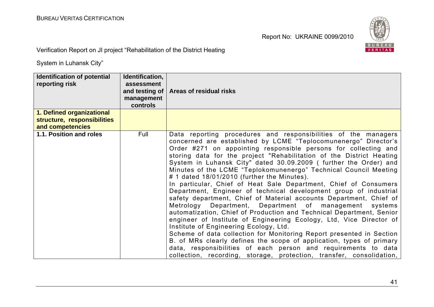

Verification Report on JI project "Rehabilitation of the District Heating

| <b>Identification of potential</b><br>reporting risk<br>1. Defined organizational | Identification,<br>assessment<br>and testing of $\vert$<br>management<br>controls | <b>Areas of residual risks</b>                                                                                                                                                                                                                                                                                                                                                                                                                                                                                                                                                                                                                                                                                                                                                                                                                                                                                                                                                                                                                                                                                                                                                                                                  |
|-----------------------------------------------------------------------------------|-----------------------------------------------------------------------------------|---------------------------------------------------------------------------------------------------------------------------------------------------------------------------------------------------------------------------------------------------------------------------------------------------------------------------------------------------------------------------------------------------------------------------------------------------------------------------------------------------------------------------------------------------------------------------------------------------------------------------------------------------------------------------------------------------------------------------------------------------------------------------------------------------------------------------------------------------------------------------------------------------------------------------------------------------------------------------------------------------------------------------------------------------------------------------------------------------------------------------------------------------------------------------------------------------------------------------------|
| structure, responsibilities                                                       |                                                                                   |                                                                                                                                                                                                                                                                                                                                                                                                                                                                                                                                                                                                                                                                                                                                                                                                                                                                                                                                                                                                                                                                                                                                                                                                                                 |
| and competencies<br>1.1. Position and roles                                       | Full                                                                              | Data reporting procedures and responsibilities of the managers<br>concerned are established by LCME "Teplocomunenergo" Director's<br>Order #271 on appointing responsible persons for collecting and<br>storing data for the project "Rehabilitation of the District Heating<br>System in Luhansk City" dated 30.09.2009 (further the Order) and<br>Minutes of the LCME "Teplokomunenergo" Technical Council Meeting<br># 1 dated 18/01/2010 (further the Minutes).<br>In particular, Chief of Heat Sale Department, Chief of Consumers<br>Department, Engineer of technical development group of industrial<br>safety department, Chief of Material accounts Department, Chief of<br>Metrology Department, Department of management systems<br>automatization, Chief of Production and Technical Department, Senior<br>engineer of Institute of Engineering Ecology, Ltd, Vice Director of<br>Institute of Engineering Ecology, Ltd.<br>Scheme of data collection for Monitoring Report presented in Section<br>B. of MRs clearly defines the scope of application, types of primary<br>data, responsibilities of each person and requirements to data<br>collection, recording, storage, protection, transfer, consolidation, |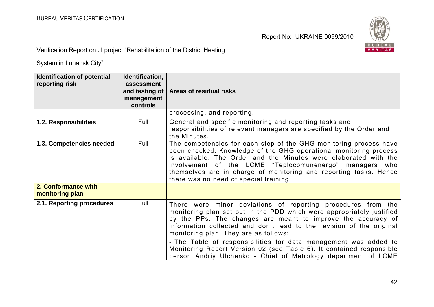

Verification Report on JI project "Rehabilitation of the District Heating

| <b>Identification of potential</b><br>reporting risk | Identification,<br>assessment<br>and testing of<br>management<br>controls | Areas of residual risks                                                                                                                                                                                                                                                                                                                                                                                                                                                                                                              |
|------------------------------------------------------|---------------------------------------------------------------------------|--------------------------------------------------------------------------------------------------------------------------------------------------------------------------------------------------------------------------------------------------------------------------------------------------------------------------------------------------------------------------------------------------------------------------------------------------------------------------------------------------------------------------------------|
|                                                      |                                                                           | processing, and reporting.                                                                                                                                                                                                                                                                                                                                                                                                                                                                                                           |
| 1.2. Responsibilities                                | Full                                                                      | General and specific monitoring and reporting tasks and<br>responsibilities of relevant managers are specified by the Order and<br>the Minutes.                                                                                                                                                                                                                                                                                                                                                                                      |
| 1.3. Competencies needed                             | Full                                                                      | The competencies for each step of the GHG monitoring process have<br>been checked. Knowledge of the GHG operational monitoring process<br>is available. The Order and the Minutes were elaborated with the<br>involvement of the LCME "Teplocomunenergo" managers who<br>themselves are in charge of monitoring and reporting tasks. Hence<br>there was no need of special training.                                                                                                                                                 |
| 2. Conformance with<br>monitoring plan               |                                                                           |                                                                                                                                                                                                                                                                                                                                                                                                                                                                                                                                      |
| 2.1. Reporting procedures                            | Full                                                                      | There were minor deviations of reporting procedures from the<br>monitoring plan set out in the PDD which were appropriately justified<br>by the PPs. The changes are meant to improve the accuracy of<br>information collected and don't lead to the revision of the original<br>monitoring plan. They are as follows:<br>- The Table of responsibilities for data management was added to<br>Monitoring Report Version 02 (see Table 6). It contained responsible<br>person Andriy Ulchenko - Chief of Metrology department of LCME |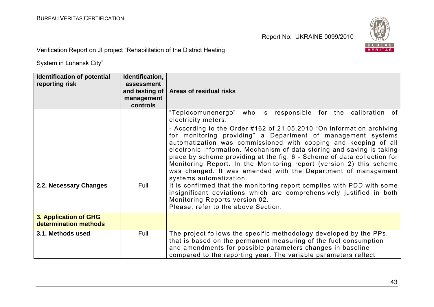

Verification Report on JI project "Rehabilitation of the District Heating

| Identification of potential<br>reporting risk  | Identification,<br>assessment<br>and testing of<br>management<br>controls | Areas of residual risks                                                                                                                                                                                                                                                                                                                                                                                                                                                                                                          |
|------------------------------------------------|---------------------------------------------------------------------------|----------------------------------------------------------------------------------------------------------------------------------------------------------------------------------------------------------------------------------------------------------------------------------------------------------------------------------------------------------------------------------------------------------------------------------------------------------------------------------------------------------------------------------|
|                                                |                                                                           | "Teplocomunenergo"<br>who is responsible for the calibration of<br>electricity meters.                                                                                                                                                                                                                                                                                                                                                                                                                                           |
|                                                |                                                                           | - According to the Order #162 of 21.05.2010 "On information archiving<br>for monitoring providing" a Department of management systems<br>automatization was commissioned with copping and keeping of all<br>electronic information. Mechanism of data storing and saving is taking<br>place by scheme providing at the fig. 6 - Scheme of data collection for<br>Monitoring Report. In the Monitoring report (version 2) this scheme<br>was changed. It was amended with the Department of management<br>systems automatization. |
| 2.2. Necessary Changes                         | Full                                                                      | It is confirmed that the monitoring report complies with PDD with some<br>insignificant deviations which are comprehensively justified in both<br>Monitoring Reports version 02.<br>Please, refer to the above Section.                                                                                                                                                                                                                                                                                                          |
| 3. Application of GHG<br>determination methods |                                                                           |                                                                                                                                                                                                                                                                                                                                                                                                                                                                                                                                  |
| 3.1. Methods used                              | Full                                                                      | The project follows the specific methodology developed by the PPs,<br>that is based on the permanent measuring of the fuel consumption<br>and amendments for possible parameters changes in baseline<br>compared to the reporting year. The variable parameters reflect                                                                                                                                                                                                                                                          |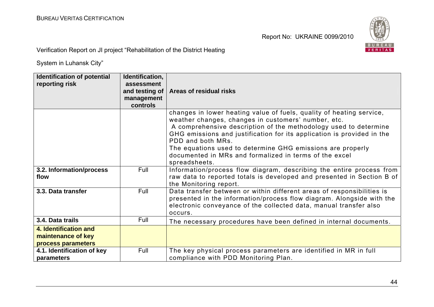

Verification Report on JI project "Rehabilitation of the District Heating

| <b>Identification of potential</b><br>reporting risk              | Identification,<br>assessment<br>and testing of<br>management<br>controls | Areas of residual risks                                                                                                                                                                                                                                                                                                                                                                                                                 |
|-------------------------------------------------------------------|---------------------------------------------------------------------------|-----------------------------------------------------------------------------------------------------------------------------------------------------------------------------------------------------------------------------------------------------------------------------------------------------------------------------------------------------------------------------------------------------------------------------------------|
|                                                                   |                                                                           | changes in lower heating value of fuels, quality of heating service,<br>weather changes, changes in customers' number, etc.<br>A comprehensive description of the methodology used to determine<br>GHG emissions and justification for its application is provided in the<br>PDD and both MRs.<br>The equations used to determine GHG emissions are properly<br>documented in MRs and formalized in terms of the excel<br>spreadsheets. |
| 3.2. Information/process<br>flow                                  | Full                                                                      | Information/process flow diagram, describing the entire process from<br>raw data to reported totals is developed and presented in Section B of<br>the Monitoring report.                                                                                                                                                                                                                                                                |
| 3.3. Data transfer                                                | Full                                                                      | Data transfer between or within different areas of responsibilities is<br>presented in the information/process flow diagram. Alongside with the<br>electronic conveyance of the collected data, manual transfer also<br>occurs.                                                                                                                                                                                                         |
| 3.4. Data trails                                                  | Full                                                                      | The necessary procedures have been defined in internal documents.                                                                                                                                                                                                                                                                                                                                                                       |
| 4. Identification and<br>maintenance of key<br>process parameters |                                                                           |                                                                                                                                                                                                                                                                                                                                                                                                                                         |
| 4.1. Identification of key<br>parameters                          | Full                                                                      | The key physical process parameters are identified in MR in full<br>compliance with PDD Monitoring Plan.                                                                                                                                                                                                                                                                                                                                |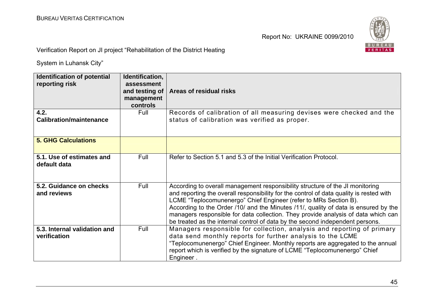

Verification Report on JI project "Rehabilitation of the District Heating

| <b>Identification of potential</b><br>reporting risk | Identification,<br>assessment<br>and testing of<br>management<br>controls | Areas of residual risks                                                                                                                                                                                                                                                                                                                                                                                                                                                                                   |
|------------------------------------------------------|---------------------------------------------------------------------------|-----------------------------------------------------------------------------------------------------------------------------------------------------------------------------------------------------------------------------------------------------------------------------------------------------------------------------------------------------------------------------------------------------------------------------------------------------------------------------------------------------------|
| 4.2.<br><b>Calibration/maintenance</b>               | Full                                                                      | Records of calibration of all measuring devises were checked and the<br>status of calibration was verified as proper.                                                                                                                                                                                                                                                                                                                                                                                     |
| <b>5. GHG Calculations</b>                           |                                                                           |                                                                                                                                                                                                                                                                                                                                                                                                                                                                                                           |
| 5.1. Use of estimates and<br>default data            | Full                                                                      | Refer to Section 5.1 and 5.3 of the Initial Verification Protocol.                                                                                                                                                                                                                                                                                                                                                                                                                                        |
| 5.2. Guidance on checks<br>and reviews               | Full                                                                      | According to overall management responsibility structure of the JI monitoring<br>and reporting the overall responsibility for the control of data quality is rested with<br>LCME "Teplocomunenergo" Chief Engineer (refer to MRs Section B).<br>According to the Order /10/ and the Minutes /11/, quality of data is ensured by the<br>managers responsible for data collection. They provide analysis of data which can<br>be treated as the internal control of data by the second independent persons. |
| 5.3. Internal validation and<br>verification         | Full                                                                      | Managers responsible for collection, analysis and reporting of primary<br>data send monthly reports for further analysis to the LCME<br>"Teplocomunenergo" Chief Engineer. Monthly reports are aggregated to the annual<br>report which is verified by the signature of LCME "Teplocomunenergo" Chief<br>Engineer.                                                                                                                                                                                        |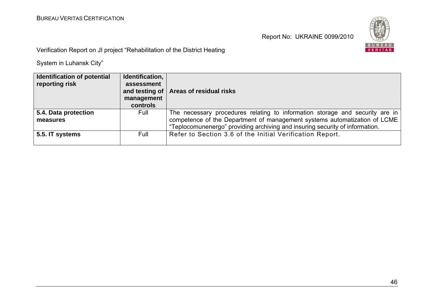

Verification Report on JI project "Rehabilitation of the District Heating

| <b>Identification of potential</b><br>reporting risk | Identification,<br>assessment<br>management<br>controls | and testing of   Areas of residual risks                                     |
|------------------------------------------------------|---------------------------------------------------------|------------------------------------------------------------------------------|
| 5.4. Data protection                                 | Full                                                    | The necessary procedures relating to information storage and security are in |
| measures                                             |                                                         | competence of the Department of management systems automatization of LCME    |
|                                                      |                                                         | "Teplocomunenergo" providing archiving and insuring security of information. |
| 5.5. IT systems                                      | Full                                                    | Refer to Section 3.6 of the Initial Verification Report.                     |
|                                                      |                                                         |                                                                              |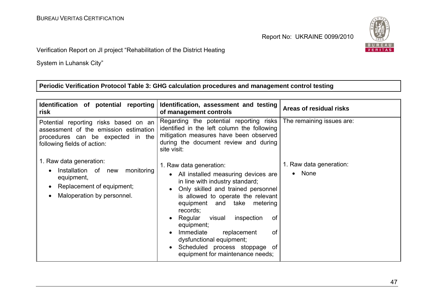

### Verification Report on JI project "Rehabilitation of the District Heating

System in Luhansk City"

# **Periodic Verification Protocol Table 3: GHG calculation procedures and management control testing**

| Identification of potential reporting<br>risk                                                                                                      | Identification, assessment and testing<br>of management controls                                                                                                                                                                                                                                                                                                                                                                                                              | Areas of residual risks                      |
|----------------------------------------------------------------------------------------------------------------------------------------------------|-------------------------------------------------------------------------------------------------------------------------------------------------------------------------------------------------------------------------------------------------------------------------------------------------------------------------------------------------------------------------------------------------------------------------------------------------------------------------------|----------------------------------------------|
| Potential reporting risks based on an<br>assessment of the emission estimation<br>procedures can be expected in the<br>following fields of action: | Regarding the potential reporting risks<br>identified in the left column the following<br>mitigation measures have been observed<br>during the document review and during<br>site visit:                                                                                                                                                                                                                                                                                      | The remaining issues are:                    |
| 1. Raw data generation:<br>monitoring<br>Installation of new<br>equipment,<br>Replacement of equipment;<br>Maloperation by personnel.              | 1. Raw data generation:<br>All installed measuring devices are<br>$\bullet$<br>in line with industry standard;<br>Only skilled and trained personnel<br>$\bullet$<br>is allowed to operate the relevant<br>equipment and take metering<br>records;<br>Regular<br>visual<br>inspection<br>0f<br>equipment;<br>Immediate<br>replacement<br><b>of</b><br>$\bullet$<br>dysfunctional equipment;<br>Scheduled process stoppage of<br>$\bullet$<br>equipment for maintenance needs; | 1. Raw data generation:<br>None<br>$\bullet$ |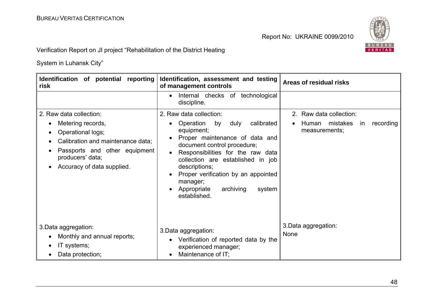

Verification Report on JI project "Rehabilitation of the District Heating

| Identification of potential reporting<br>risk                                                                                                                                             | Identification, assessment and testing<br>of management controls                                                                                                                                                                                                                                                                                                 | Areas of residual risks                                                          |
|-------------------------------------------------------------------------------------------------------------------------------------------------------------------------------------------|------------------------------------------------------------------------------------------------------------------------------------------------------------------------------------------------------------------------------------------------------------------------------------------------------------------------------------------------------------------|----------------------------------------------------------------------------------|
|                                                                                                                                                                                           | Internal checks of technological<br>$\bullet$<br>discipline.                                                                                                                                                                                                                                                                                                     |                                                                                  |
| 2. Raw data collection:<br>Metering records,<br>Operational logs;<br>Calibration and maintenance data;<br>Passports and other equipment<br>producers' data;<br>Accuracy of data supplied. | 2. Raw data collection:<br>Operation<br>calibrated<br>by<br>duly<br>$\bullet$<br>equipment;<br>Proper maintenance of data and<br>document control procedure;<br>Responsibilities for the raw data<br>collection are established in job<br>descriptions;<br>Proper verification by an appointed<br>manager;<br>Appropriate<br>archiving<br>system<br>established. | 2. Raw data collection:<br>mistakes<br>recording<br>Human<br>in<br>measurements; |
| 3. Data aggregation:<br>Monthly and annual reports;<br>IT systems;<br>Data protection;                                                                                                    | 3. Data aggregation:<br>Verification of reported data by the<br>$\bullet$<br>experienced manager;<br>Maintenance of IT;<br>$\bullet$                                                                                                                                                                                                                             | 3. Data aggregation:<br><b>None</b>                                              |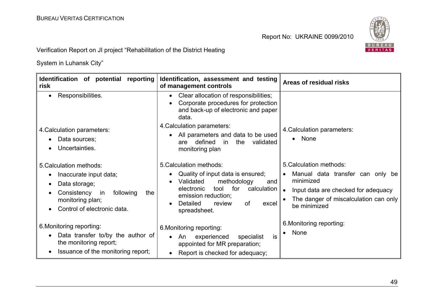

Verification Report on JI project "Rehabilitation of the District Heating

| Identification of potential reporting<br>risk                                                                                                                               | Identification, assessment and testing<br>of management controls                                                                                                                                                             | Areas of residual risks                                                                                                                                                               |
|-----------------------------------------------------------------------------------------------------------------------------------------------------------------------------|------------------------------------------------------------------------------------------------------------------------------------------------------------------------------------------------------------------------------|---------------------------------------------------------------------------------------------------------------------------------------------------------------------------------------|
| Responsibilities.<br>$\bullet$                                                                                                                                              | Clear allocation of responsibilities;<br>$\bullet$<br>Corporate procedures for protection<br>$\bullet$<br>and back-up of electronic and paper<br>data.                                                                       |                                                                                                                                                                                       |
| 4. Calculation parameters:<br>Data sources;<br>Uncertainties.                                                                                                               | 4. Calculation parameters:<br>All parameters and data to be used<br>$\bullet$<br>defined<br>validated<br>are<br>in.<br>the<br>monitoring plan                                                                                | 4. Calculation parameters:<br>None<br>$\bullet$                                                                                                                                       |
| 5. Calculation methods:<br>Inaccurate input data;<br>Data storage;<br>$\bullet$<br>Consistency<br>following<br>in<br>the<br>monitoring plan;<br>Control of electronic data. | 5. Calculation methods:<br>Quality of input data is ensured;<br>٠<br>Validated<br>methodology<br>and<br>for<br>calculation<br>electronic<br>tool<br>emission reduction;<br>Detailed<br>0f<br>review<br>excel<br>spreadsheet. | 5. Calculation methods:<br>Manual data transfer can only be<br>$\bullet$<br>minimized<br>Input data are checked for adequacy<br>The danger of miscalculation can only<br>be minimized |
| 6. Monitoring reporting:<br>Data transfer to/by the author of<br>the monitoring report;<br>Issuance of the monitoring report;<br>$\bullet$                                  | 6. Monitoring reporting:<br>experienced<br>is<br>An<br>specialist<br>$\bullet$<br>appointed for MR preparation;<br>Report is checked for adequacy;<br>$\bullet$                                                              | 6. Monitoring reporting:<br>None<br>$\bullet$                                                                                                                                         |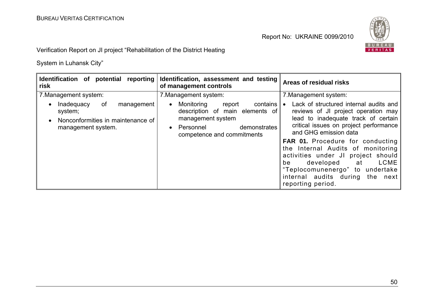

Verification Report on JI project "Rehabilitation of the District Heating

| Identification of potential reporting<br>risk                                                        | Identification, assessment and testing<br>of management controls                                                                                                                | Areas of residual risks                                                                                                                                                                                                                                                                                                                                                                                                                      |
|------------------------------------------------------------------------------------------------------|---------------------------------------------------------------------------------------------------------------------------------------------------------------------------------|----------------------------------------------------------------------------------------------------------------------------------------------------------------------------------------------------------------------------------------------------------------------------------------------------------------------------------------------------------------------------------------------------------------------------------------------|
| 7. Management system:                                                                                | 7. Management system:                                                                                                                                                           | 7. Management system:                                                                                                                                                                                                                                                                                                                                                                                                                        |
| Inadequacy<br>0f<br>management<br>system;<br>Nonconformities in maintenance of<br>management system. | contains  <br>Monitoring<br>report<br>$\bullet$<br>description of main elements of<br>management system<br>demonstrates<br>Personnel<br>$\bullet$<br>competence and commitments | Lack of structured internal audits and<br>reviews of JI project operation may<br>lead to inadequate track of certain<br>critical issues on project performance<br>and GHG emission data<br><b>FAR 01.</b> Procedure for conducting<br>the Internal Audits of monitoring<br>activities under JI project should<br>LCME<br>developed<br>be<br>at<br>"Teplocomunenergo" to undertake<br>internal audits during<br>the next<br>reporting period. |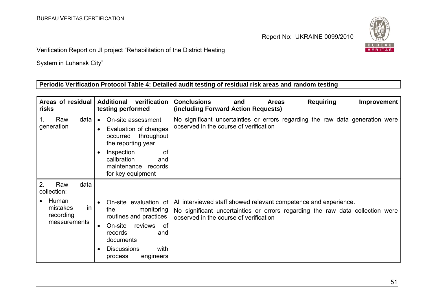

Verification Report on JI project "Rehabilitation of the District Heating

System in Luhansk City"

# **Periodic Verification Protocol Table 4: Detailed audit testing of residual risk areas and random testing**

| Areas of residual<br>risks                                                               | verification<br><b>Additional</b><br>testing performed                                                                                                                                                          | <b>Requiring</b><br><b>Conclusions</b><br><b>Areas</b><br>and<br>Improvement<br>(including Forward Action Requests)                                                                         |
|------------------------------------------------------------------------------------------|-----------------------------------------------------------------------------------------------------------------------------------------------------------------------------------------------------------------|---------------------------------------------------------------------------------------------------------------------------------------------------------------------------------------------|
| Raw<br>data<br>1.<br>generation                                                          | On-site assessment<br>$\bullet$<br>Evaluation of changes<br>throughout<br>occurred<br>the reporting year<br>Inspection<br>0f<br>calibration<br>and<br>maintenance records<br>for key equipment                  | No significant uncertainties or errors regarding the raw data generation were<br>observed in the course of verification                                                                     |
| 2.<br>Raw<br>data<br>collection:<br>Human<br>mistakes<br>in<br>recording<br>measurements | On-site evaluation of<br>the<br>monitoring<br>routines and practices<br>On-site<br>reviews<br>of<br>$\bullet$<br>records<br>and<br>documents<br><b>Discussions</b><br>with<br>$\bullet$<br>engineers<br>process | All interviewed staff showed relevant competence and experience.<br>No significant uncertainties or errors regarding the raw data collection were<br>observed in the course of verification |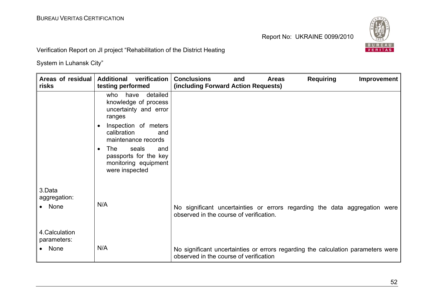

Verification Report on JI project "Rehabilitation of the District Heating

| Areas of residual<br>risks              | Additional verification<br>testing performed                                                                                                                                                                                                                                  | <b>Requiring</b><br><b>Conclusions</b><br><b>Areas</b><br><b>Improvement</b><br>and<br>(including Forward Action Requests) |
|-----------------------------------------|-------------------------------------------------------------------------------------------------------------------------------------------------------------------------------------------------------------------------------------------------------------------------------|----------------------------------------------------------------------------------------------------------------------------|
|                                         | detailed<br>have<br>who<br>knowledge of process<br>uncertainty and error<br>ranges<br>Inspection of meters<br>$\bullet$<br>calibration<br>and<br>maintenance records<br>The l<br>seals<br>and<br>$\bullet$<br>passports for the key<br>monitoring equipment<br>were inspected |                                                                                                                            |
| 3.Data<br>aggregation:<br>• None        | N/A                                                                                                                                                                                                                                                                           | No significant uncertainties or errors regarding the data aggregation were<br>observed in the course of verification.      |
| 4. Calculation<br>parameters:<br>• None | N/A                                                                                                                                                                                                                                                                           | No significant uncertainties or errors regarding the calculation parameters were<br>observed in the course of verification |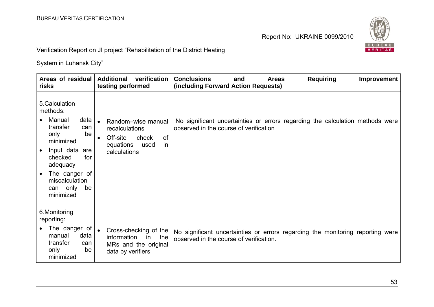

| Areas of residual   Additional<br>risks                                                                                                                       | verification<br>testing performed                                                                             | <b>Conclusions</b><br><b>Requiring</b><br><b>Improvement</b><br><b>Areas</b><br>and<br>(including Forward Action Requests) |
|---------------------------------------------------------------------------------------------------------------------------------------------------------------|---------------------------------------------------------------------------------------------------------------|----------------------------------------------------------------------------------------------------------------------------|
| 5.Calculation<br>methods:<br>Manual<br>data $ $<br>transfer<br>can<br>be<br>only<br>minimized<br>Input data<br>are<br>$\bullet$<br>checked<br>for<br>adequacy | Random-wise manual<br>recalculations<br>Off-site<br>check<br>0f<br>in<br>equations<br>used<br>calculations    | No significant uncertainties or errors regarding the calculation methods were<br>observed in the course of verification    |
| The danger of<br>miscalculation<br>can only<br>be<br>minimized                                                                                                |                                                                                                               |                                                                                                                            |
| 6. Monitoring<br>reporting:                                                                                                                                   |                                                                                                               |                                                                                                                            |
| The danger of<br>data<br>manual<br>transfer<br>can<br>be<br>only<br>minimized                                                                                 | Cross-checking of the<br>$\bullet$<br>information<br>the<br>in l<br>MRs and the original<br>data by verifiers | No significant uncertainties or errors regarding the monitoring reporting were<br>observed in the course of verification.  |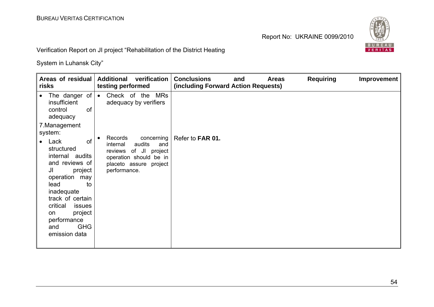

Verification Report on JI project "Rehabilitation of the District Heating

| Areas of residual<br>risks                                                                                                                                                                                                                               | <b>Additional</b><br>verification<br>testing performed                                                                                          | <b>Conclusions</b><br><b>Requiring</b><br><b>Areas</b><br><b>Improvement</b><br>and<br>(including Forward Action Requests) |
|----------------------------------------------------------------------------------------------------------------------------------------------------------------------------------------------------------------------------------------------------------|-------------------------------------------------------------------------------------------------------------------------------------------------|----------------------------------------------------------------------------------------------------------------------------|
| $\bullet$<br>insufficient<br><b>of</b><br>control<br>adequacy                                                                                                                                                                                            | The danger of $\bullet$ Check of the MRs<br>adequacy by verifiers                                                                               |                                                                                                                            |
| 7. Management<br>system:                                                                                                                                                                                                                                 |                                                                                                                                                 |                                                                                                                            |
| of<br>Lack<br>$\bullet$<br>structured<br>internal audits<br>and reviews of<br>JI<br>project<br>operation may<br>lead<br>to<br>inadequate<br>track of certain<br>critical<br>issues<br>project<br>on<br>performance<br><b>GHG</b><br>and<br>emission data | Records<br>concerning<br>internal<br>audits<br>and<br>reviews of JI project<br>operation should be in<br>placeto assure project<br>performance. | Refer to FAR 01.                                                                                                           |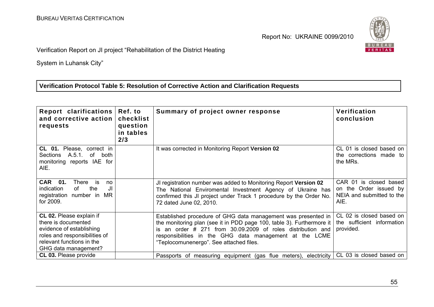

Verification Report on JI project "Rehabilitation of the District Heating

System in Luhansk City"

# **Verification Protocol Table 5: Resolution of Corrective Action and Clarification Requests**

| Report clarifications<br>and corrective action  <br>requests                                                                                                             | Ref. to<br>checklist<br>question<br>in tables<br>2/3 | Summary of project owner response                                                                                                                                                                                                                                                                        | Verification<br>conclusion                                                            |
|--------------------------------------------------------------------------------------------------------------------------------------------------------------------------|------------------------------------------------------|----------------------------------------------------------------------------------------------------------------------------------------------------------------------------------------------------------------------------------------------------------------------------------------------------------|---------------------------------------------------------------------------------------|
| CL 01. Please, correct in<br>A.5.1.<br>of<br>Sections<br>both<br>monitoring reports IAE for<br>AIE.                                                                      |                                                      | It was corrected in Monitoring Report Version 02                                                                                                                                                                                                                                                         | CL 01 is closed based on<br>the corrections made to<br>the MRs.                       |
| CAR 01.<br>There<br>is is<br>no<br>the<br>indication<br>of<br>JI<br>registration number in<br>MR.<br>for 2009.                                                           |                                                      | JI registration number was added to Monitoring Report Version 02<br>The National Enviromental Investment Agency of Ukraine has<br>confirmed this JI project under Track 1 procedure by the Order No.<br>72 dated June 02, 2010.                                                                          | CAR 01 is closed based<br>on the Order issued by<br>NEIA and submitted to the<br>AIE. |
| <b>CL 02.</b> Please explain if<br>there is documented<br>evidence of establishing<br>roles and responsibilities of<br>relevant functions in the<br>GHG data management? |                                                      | Established procedure of GHG data management was presented in<br>the monitoring plan (see it in PDD page 100, table 3). Furthermore it<br>an order # 271 from 30.09.2009 of roles distribution and<br>responsibilities in the GHG data management at the LCME<br>"Teplocomunenergo". See attached files. | CL 02 is closed based on<br>the sufficient information<br>provided.                   |
| <b>CL 03. Please provide</b>                                                                                                                                             |                                                      | Passports of measuring equipment (gas flue meters), electricity                                                                                                                                                                                                                                          | CL 03 is closed based on                                                              |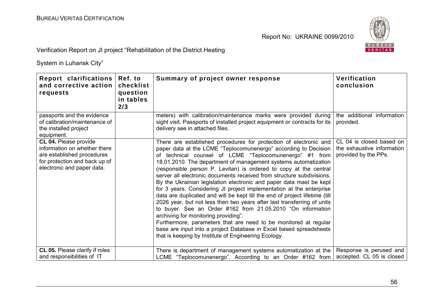

Verification Report on JI project "Rehabilitation of the District Heating

| Report clarifications  <br>and corrective action  <br>requests                                                                                     | Ref. to<br>checklist<br>question<br>in tables<br>2/3 | Summary of project owner response                                                                                                                                                                                                                                                                                                                                                                                                                                                                                                                                                                                                                                                                                                                                                                                                                                                                                                                                                                                                  | Verification<br>conclusion                                                     |
|----------------------------------------------------------------------------------------------------------------------------------------------------|------------------------------------------------------|------------------------------------------------------------------------------------------------------------------------------------------------------------------------------------------------------------------------------------------------------------------------------------------------------------------------------------------------------------------------------------------------------------------------------------------------------------------------------------------------------------------------------------------------------------------------------------------------------------------------------------------------------------------------------------------------------------------------------------------------------------------------------------------------------------------------------------------------------------------------------------------------------------------------------------------------------------------------------------------------------------------------------------|--------------------------------------------------------------------------------|
| passports and the evidence<br>of calibration/maintenance of<br>the installed project<br>equipment.                                                 |                                                      | meters) with calibration/maintenance marks were provided during<br>sight visit. Passports of installed project equipment or contracts for its<br>delivery see in attached files.                                                                                                                                                                                                                                                                                                                                                                                                                                                                                                                                                                                                                                                                                                                                                                                                                                                   | the additional information<br>provided.                                        |
| CL 04. Please provide<br>information on whether there<br>are established procedures<br>for protection and back up of<br>electronic and paper data. |                                                      | There are established procedures for protection of electronic and<br>paper data at the LCME "Teplocomunenergo" according to Decision<br>of technical counsel of LCME "Teplocomunenergo" #1 from<br>18.01.2010. The department of management systems automatization<br>(responsible person P. Levitan) is ordered to copy at the central<br>server all electronic documents received from structure subdivisions.<br>By the Ukrainian legislation electronic and paper data mast be kept<br>for 3 years. Considering JI project implementation at the enterprise<br>data are duplicated and will be kept till the end of project lifetime (till<br>2026 year, but not less then two years after last transferring of units<br>to buyer. See an Order #162 from 21.05.2010 "On information<br>archiving for monitoring providing".<br>Furthermore, parameters that are need to be monitored at regular<br>base are input into a project Database in Excel based spreadsheets<br>that is keeping by Institute of Engineering Ecology. | CL 04 is closed based on<br>the exhaustive information<br>provided by the PPs. |
| <b>CL 05.</b> Please clarify if roles<br>and responsibilities of IT                                                                                |                                                      | There is department of management systems automatization at the<br>LCME "Teplocomunenergo". According to an Order #162 from                                                                                                                                                                                                                                                                                                                                                                                                                                                                                                                                                                                                                                                                                                                                                                                                                                                                                                        | Response is perused and<br>accepted. CL 05 is closed                           |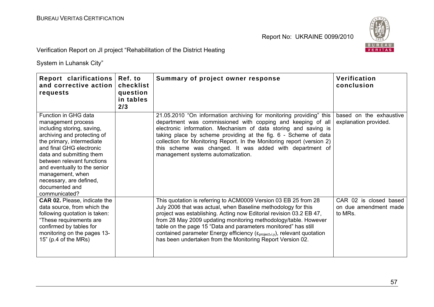

| Report clarifications<br>and corrective action<br>requests                                                                                                                                                                                                                                                                                   | Ref. to<br>checklist<br>question<br>in tables<br>2/3 | Summary of project owner response                                                                                                                                                                                                                                                                                                                                                                                                                                                                           | Verification<br>conclusion                                 |
|----------------------------------------------------------------------------------------------------------------------------------------------------------------------------------------------------------------------------------------------------------------------------------------------------------------------------------------------|------------------------------------------------------|-------------------------------------------------------------------------------------------------------------------------------------------------------------------------------------------------------------------------------------------------------------------------------------------------------------------------------------------------------------------------------------------------------------------------------------------------------------------------------------------------------------|------------------------------------------------------------|
| Function in GHG data<br>management process<br>including storing, saving,<br>archiving and protecting of<br>the primary, intermediate<br>and final GHG electronic<br>data and submitting them<br>between relevant functions<br>and eventually to the senior<br>management, when<br>necessary, are defined,<br>documented and<br>communicated? |                                                      | 21.05.2010 "On information archiving for monitoring providing" this<br>department was commissioned with copping and keeping of all<br>electronic information. Mechanism of data storing and saving is<br>taking place by scheme providing at the fig. 6 - Scheme of data<br>collection for Monitoring Report. In the Monitoring report (version 2)<br>this scheme was changed. It was added with department of<br>management systems automatization.                                                        | based on the exhaustive<br>explanation provided.           |
| <b>CAR 02.</b> Please, indicate the<br>data source, from which the<br>following quotation is taken:<br>"These requirements are<br>confirmed by tables for<br>monitoring on the pages 13-<br>$15"$ (p.4 of the MRs)                                                                                                                           |                                                      | This quotation is referring to ACM0009 Version 03 EB 25 from 28<br>July 2006 that was actual, when Baseline methodology for this<br>project was establishing. Acting now Editorial revision 03.2 EB 47,<br>from 28 May 2009 updating monitoring methodology/table. However<br>table on the page 15 "Data and parameters monitored" has still<br>contained parameter Energy efficiency ( $\epsilon_{\text{project},i,y}$ ), relevant quotation<br>has been undertaken from the Monitoring Report Version 02. | CAR 02 is closed based<br>on due amendment made<br>to MRs. |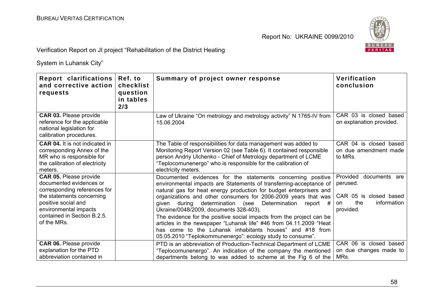

Verification Report on JI project "Rehabilitation of the District Heating

| Report clarifications<br>and corrective action<br>requests                                                                                                                                                          | Ref. to<br>checklist<br>question<br>in tables<br>2/3 | Summary of project owner response                                                                                                                                                                                                                                                                                                                                                                                                                                                                                                                                                                                                                           | Verification<br>conclusion                                                                               |
|---------------------------------------------------------------------------------------------------------------------------------------------------------------------------------------------------------------------|------------------------------------------------------|-------------------------------------------------------------------------------------------------------------------------------------------------------------------------------------------------------------------------------------------------------------------------------------------------------------------------------------------------------------------------------------------------------------------------------------------------------------------------------------------------------------------------------------------------------------------------------------------------------------------------------------------------------------|----------------------------------------------------------------------------------------------------------|
| <b>CAR 03. Please provide</b><br>reference for the applicable<br>national legislation for<br>calibration procedures.                                                                                                |                                                      | Law of Ukraine "On metrology and metrology activity" N 1765-IV from<br>15.06.2004                                                                                                                                                                                                                                                                                                                                                                                                                                                                                                                                                                           | CAR 03 is closed based<br>on explanation provided.                                                       |
| <b>CAR 04.</b> It is not indicated in<br>corresponding Annex of the<br>MR who is responsible for<br>the calibration of electricity<br>meters.                                                                       |                                                      | The Table of responsibilities for data management was added to<br>Monitoring Report Version 02 (see Table 6). It contained responsible<br>person Andriy Ulchenko - Chief of Metrology department of LCME<br>"Teplocomunenergo" who is responsible for the calibration of<br>electricity meters.                                                                                                                                                                                                                                                                                                                                                             | CAR 04 is closed based<br>on due amendment made<br>to MRs.                                               |
| <b>CAR 05. Please provide</b><br>documented evidences or<br>corresponding references for<br>the statements concerning<br>positive social and<br>environmental impacts<br>contained in Section B.2.5.<br>of the MRs. |                                                      | Documented evidences for the statements concerning positive<br>environmental impacts are Statements of transferring-acceptance of<br>natural gas for heat energy production for budget enterprisers and<br>organizations and other consumers for 2006-2009 years that was<br>during determination (see<br>Determination report #<br>qiven<br>Ukraine/0048/2009, documents 328-403).<br>The evidence for the positive social impacts from the project can be<br>articles in the newspaper "Luhansk life" #46 from 04.11.2009 "Heat<br>has come to the Luhansk inhabitants houses" and #18 from<br>05.05.2010 "Teplokommunenergo": ecology study to consume". | Provided<br>documents are<br>perused.<br>CAR 05 is closed based<br>the<br>information<br>on<br>provided. |
| <b>CAR 06. Please provide</b><br>explanation for the PTD<br>abbreviation contained in                                                                                                                               |                                                      | PTD is an abbreviation of Production-Technical Department of LCME<br>"Teplocomunenergo". An indication of the company the mentioned<br>departments belong to was added to scheme at the Fig 6 of the                                                                                                                                                                                                                                                                                                                                                                                                                                                        | CAR 06 is closed based<br>on due changes made to<br>MRs.                                                 |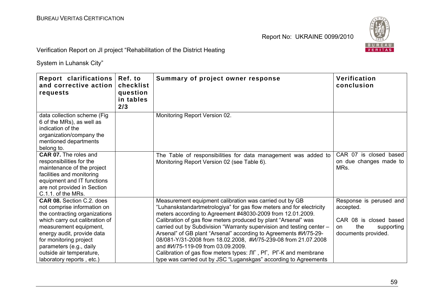

| Report clarifications<br>and corrective action<br>requests                                                                                                                                             | Ref. to<br>checklist<br>question<br>in tables<br>2/3 | Summary of project owner response                                                                                                                                                                                                                                                                                                                                                      | Verification<br>conclusion                                               |
|--------------------------------------------------------------------------------------------------------------------------------------------------------------------------------------------------------|------------------------------------------------------|----------------------------------------------------------------------------------------------------------------------------------------------------------------------------------------------------------------------------------------------------------------------------------------------------------------------------------------------------------------------------------------|--------------------------------------------------------------------------|
| data collection scheme (Fig.<br>6 of the MRs), as well as<br>indication of the<br>organization/company the<br>mentioned departments<br>belong to.                                                      |                                                      | Monitoring Report Version 02.                                                                                                                                                                                                                                                                                                                                                          |                                                                          |
| <b>CAR 07.</b> The roles and<br>responsibilities for the<br>maintenance of the project<br>facilities and monitoring<br>equipment and IT functions<br>are not provided in Section<br>C.1.1. of the MRs. |                                                      | The Table of responsibilities for data management was added to<br>Monitoring Report Version 02 (see Table 6).                                                                                                                                                                                                                                                                          | CAR 07 is closed based<br>on due changes made to<br>MRs.                 |
| CAR 08. Section C.2. does<br>not comprise information on<br>the contracting organizations                                                                                                              |                                                      | Measurement equipment calibration was carried out by GB<br>"Luhanskstandartmetrologiya" for gas flow meters and for electricity<br>meters according to Agreement #48030-2009 from 12.01.2009.                                                                                                                                                                                          | Response is perused and<br>accepted.                                     |
| which carry out calibration of<br>measurement equipment,<br>energy audit, provide data<br>for monitoring project<br>parameters (e.g., daily<br>outside air temperature,                                |                                                      | Calibration of gas flow meters produced by plant "Arsenal" was<br>carried out by Subdivision "Warranty supervision and testing center -<br>Arsenal" of GB plant "Arsenal" according to Agreements #V/75-29-<br>08/081-Y/31-2008 from 18.02.2008, #W/75-239-08 from 21.07.2008<br>and #W/75-119-09 from 03.09.2009.<br>Calibration of gas flow meters types: JIF, PF, PF-K and membrane | CAR 08 is closed based<br>the<br>supporting<br>on<br>documents provided. |
| laboratory reports, etc.)                                                                                                                                                                              |                                                      | type was carried out by JSC "Luganskgas" according to Agreements                                                                                                                                                                                                                                                                                                                       |                                                                          |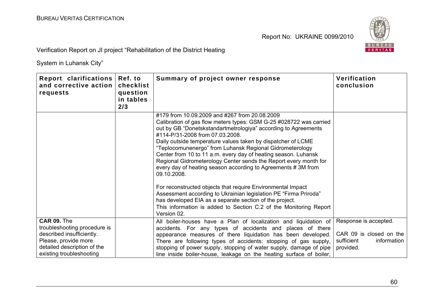

Verification Report on JI project "Rehabilitation of the District Heating

| Report clarifications<br>and corrective action<br>requests                                                                                                  | Ref. to<br>checklist<br>question<br>in tables<br>2/3 | Summary of project owner response                                                                                                                                                                                                                                                                                                                                                                                                                                                                                                                                                                                                                                                                                                                                                                                                                           | Verification<br>conclusion                                                                 |
|-------------------------------------------------------------------------------------------------------------------------------------------------------------|------------------------------------------------------|-------------------------------------------------------------------------------------------------------------------------------------------------------------------------------------------------------------------------------------------------------------------------------------------------------------------------------------------------------------------------------------------------------------------------------------------------------------------------------------------------------------------------------------------------------------------------------------------------------------------------------------------------------------------------------------------------------------------------------------------------------------------------------------------------------------------------------------------------------------|--------------------------------------------------------------------------------------------|
|                                                                                                                                                             |                                                      | #179 from 10.09.2009 and #267 from 20.08.2009<br>Calibration of gas flow meters types: GSM G-25 #028722 was carried<br>out by GB "Donetskstandartmetrologiya" according to Agreements<br>#114-P/31-2008 from 07.03.2008.<br>Daily outside temperature values taken by dispatcher of LCME<br>"Teplocomunenergo" from Luhansk Regional Gidrometerology<br>Center from 10 to 11 a.m. every day of heating season. Luhansk<br>Regional Gidrometerology Center sends the Report every month for<br>every day of heating season according to Agreements #3M from<br>09.10.2008.<br>For reconstructed objects that require Environmental Impact<br>Assessment according to Ukrainian legislation PE "Firma Priroda"<br>has developed EIA as a separate section of the project.<br>This information is added to Section C.2 of the Monitoring Report<br>Version 02. |                                                                                            |
| CAR 09. The<br>troubleshooting procedure is<br>described insufficiently.<br>Please, provide more<br>detailed description of the<br>existing troubleshooting |                                                      | All boiler-houses have a Plan of localization and liquidation of<br>accidents. For any types of accidents and places of there<br>appearance measures of there liquidation has been developed.<br>There are following types of accidents: stopping of gas supply,<br>stopping of power supply, stopping of water supply, damage of pipe<br>line inside boiler-house, leakage on the heating surface of boiler,                                                                                                                                                                                                                                                                                                                                                                                                                                               | Response is accepted.<br>CAR 09 is closed on the<br>sufficient<br>information<br>provided. |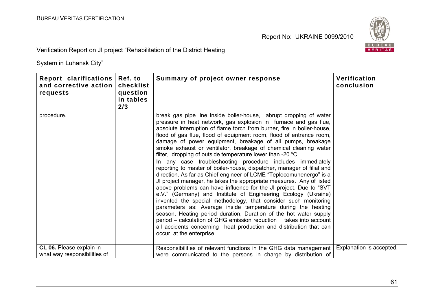

| Report clarifications   Ref. to<br>and corrective action  <br>requests | checklist<br>question<br>in tables<br>2/3 | Summary of project owner response                                                                                                                                                                                                                                                                                                                                                                                                                                                                                                                                                                                                                                                                                                                                                                                                                                                                                                                                                                                                                                                                                                                                                                                                                                                                    | Verification<br>conclusion |
|------------------------------------------------------------------------|-------------------------------------------|------------------------------------------------------------------------------------------------------------------------------------------------------------------------------------------------------------------------------------------------------------------------------------------------------------------------------------------------------------------------------------------------------------------------------------------------------------------------------------------------------------------------------------------------------------------------------------------------------------------------------------------------------------------------------------------------------------------------------------------------------------------------------------------------------------------------------------------------------------------------------------------------------------------------------------------------------------------------------------------------------------------------------------------------------------------------------------------------------------------------------------------------------------------------------------------------------------------------------------------------------------------------------------------------------|----------------------------|
| procedure.                                                             |                                           | break gas pipe line inside boiler-house, abrupt dropping of water<br>pressure in heat network, gas explosion in furnace and gas flue,<br>absolute interruption of flame torch from burner, fire in boiler-house,<br>flood of gas flue, flood of equipment room, flood of entrance room,<br>damage of power equipment, breakage of all pumps, breakage<br>smoke exhaust or ventilator, breakage of chemical cleaning water<br>filter, dropping of outside temperature lower than -20 °C.<br>In any case troubleshooting procedure includes immediately<br>reporting to master of boiler-house, dispatcher, manager of filial and<br>direction. As far as Chief engineer of LCME "Teplocomunenergo" is a<br>JI project manager, he takes the appropriate measures. Any of listed<br>above problems can have influence for the JI project. Due to "SVT<br>e.V." (Germany) and Institute of Engineering Ecology (Ukraine)<br>invented the special methodology, that consider such monitoring<br>parameters as: Average inside temperature during the heating<br>season, Heating period duration, Duration of the hot water supply<br>period – calculation of GHG emission reduction takes into account<br>all accidents concerning heat production and distribution that can<br>occur at the enterprise. |                            |
| CL 06. Please explain in<br>what way responsibilities of               |                                           | Responsibilities of relevant functions in the GHG data management<br>were communicated to the persons in charge by distribution of                                                                                                                                                                                                                                                                                                                                                                                                                                                                                                                                                                                                                                                                                                                                                                                                                                                                                                                                                                                                                                                                                                                                                                   | Explanation is accepted.   |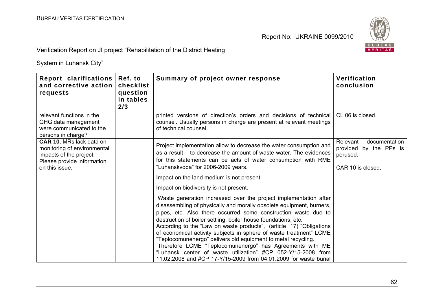

Verification Report on JI project "Rehabilitation of the District Heating

| Report clarifications<br>and corrective action<br>requests                                                                                | Ref. to<br>checklist<br>question<br>in tables<br>2/3 | Summary of project owner response                                                                                                                                                                                                                                                                                                                                                                                                                                                                                                                                                                                                                                                          | Verification<br>conclusion                                                           |
|-------------------------------------------------------------------------------------------------------------------------------------------|------------------------------------------------------|--------------------------------------------------------------------------------------------------------------------------------------------------------------------------------------------------------------------------------------------------------------------------------------------------------------------------------------------------------------------------------------------------------------------------------------------------------------------------------------------------------------------------------------------------------------------------------------------------------------------------------------------------------------------------------------------|--------------------------------------------------------------------------------------|
| relevant functions in the<br>GHG data management<br>were communicated to the<br>persons in charge?                                        |                                                      | printed versions of direction's orders and decisions of technical<br>counsel. Usually persons in charge are present at relevant meetings<br>of technical counsel.                                                                                                                                                                                                                                                                                                                                                                                                                                                                                                                          | CL 06 is closed.                                                                     |
| <b>CAR 10. MRs lack data on</b><br>monitoring of environmental<br>impacts of the project.<br>Please provide information<br>on this issue. |                                                      | Project implementation allow to decrease the water consumption and<br>as a result – to decrease the amount of waste water. The evidences<br>for this statements can be acts of water consumption with RME<br>"Luhanskvoda" for 2006-2009 years.                                                                                                                                                                                                                                                                                                                                                                                                                                            | documentation<br>Relevant<br>provided by the PPs is<br>perused.<br>CAR 10 is closed. |
|                                                                                                                                           |                                                      | Impact on the land medium is not present.                                                                                                                                                                                                                                                                                                                                                                                                                                                                                                                                                                                                                                                  |                                                                                      |
|                                                                                                                                           |                                                      | Impact on biodiversity is not present.                                                                                                                                                                                                                                                                                                                                                                                                                                                                                                                                                                                                                                                     |                                                                                      |
|                                                                                                                                           |                                                      | Waste generation increased over the project implementation after<br>disassembling of physically and morally obsolete equipment, burners,<br>pipes, etc. Also there occurred some construction waste due to<br>destruction of boiler settling, boiler house foundations, etc.<br>According to the "Law on waste products", (article 17) "Obligations<br>of economical activity subjects in sphere of waste treatment" LCME<br>"Teplocomunenergo" delivers old equipment to metal recycling.<br>Therefore LCME "Teplocomunenergo" has Agreements with ME<br>"Luhansk center of waste utilization" #CP 052-Y/15-2008 from<br>11.02.2008 and #CP 17-Y/15-2009 from 04.01.2009 for waste burial |                                                                                      |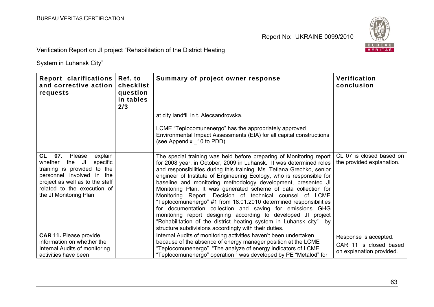

| Report clarifications<br>Ref. to<br>and corrective action<br>question<br>requests<br>in tables<br>2/3                                                                                                                   | checklist | Summary of project owner response                                                                                                                                                                                                                                                                                                                                                                                                                                                                                                                                                                                                                                                                                                                                                                                              | Verification<br>conclusion                                                  |
|-------------------------------------------------------------------------------------------------------------------------------------------------------------------------------------------------------------------------|-----------|--------------------------------------------------------------------------------------------------------------------------------------------------------------------------------------------------------------------------------------------------------------------------------------------------------------------------------------------------------------------------------------------------------------------------------------------------------------------------------------------------------------------------------------------------------------------------------------------------------------------------------------------------------------------------------------------------------------------------------------------------------------------------------------------------------------------------------|-----------------------------------------------------------------------------|
|                                                                                                                                                                                                                         |           | at city landfill in t. Alecsandrovska.<br>LCME "Teplocomunenergo" has the appropriately approved<br>Environmental Impact Assessments (EIA) for all capital constructions<br>(see Appendix 10 to PDD).                                                                                                                                                                                                                                                                                                                                                                                                                                                                                                                                                                                                                          |                                                                             |
| CL 07.<br>explain<br>Please<br>JI<br>whether<br>specific<br>the<br>training is provided to the<br>personnel involved in the<br>project as well as to the staff<br>related to the execution of<br>the JI Monitoring Plan |           | The special training was held before preparing of Monitoring report<br>for 2008 year, in October, 2009 in Luhansk. It was determined roles<br>and responsibilities during this training. Ms. Tetiana Grechko, senior<br>engineer of Institute of Engineering Ecology, who is responsible for<br>baseline and monitoring methodology development, presented JI<br>Monitoring Plan. It was generated scheme of data collection for<br>Monitoring Report. Decision of technical counsel of LCME<br>"Teplocomunenergo" #1 from 18.01.2010 determined responsibilities<br>for documentation collection and saving for emissions GHG<br>monitoring report designing according to developed JI project<br>"Rehabilitation of the district heating system in Luhansk city" by<br>structure subdivisions accordingly with their duties. | CL 07 is closed based on<br>the provided explanation.                       |
| <b>CAR 11. Please provide</b><br>information on whether the<br>Internal Audits of monitoring<br>activities have been                                                                                                    |           | Internal Audits of monitoring activities haven't been undertaken<br>because of the absence of energy manager position at the LCME<br>"Teplocomunenergo". "The analyze of energy indicators of LCME<br>"Teplocomunenergo" operation " was developed by PE "Metalod" for                                                                                                                                                                                                                                                                                                                                                                                                                                                                                                                                                         | Response is accepted.<br>CAR 11 is closed based<br>on explanation provided. |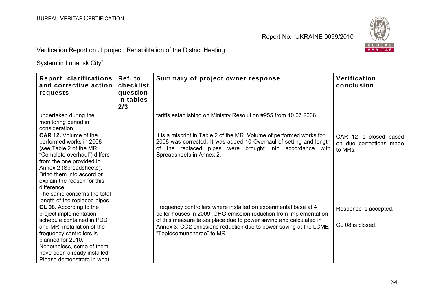

| Report clarifications<br>and corrective action<br>requests                                                                                                                                                                                                                                                          | Ref. to<br>checklist<br>question<br>in tables<br>2/3 | Summary of project owner response                                                                                                                                                                                                                                                                          | Verification<br>conclusion                                   |
|---------------------------------------------------------------------------------------------------------------------------------------------------------------------------------------------------------------------------------------------------------------------------------------------------------------------|------------------------------------------------------|------------------------------------------------------------------------------------------------------------------------------------------------------------------------------------------------------------------------------------------------------------------------------------------------------------|--------------------------------------------------------------|
| undertaken during the<br>monitoring period in<br>consideration.                                                                                                                                                                                                                                                     |                                                      | tariffs establishing on Ministry Resolution #955 from 10.07.2006.                                                                                                                                                                                                                                          |                                                              |
| <b>CAR 12.</b> Volume of the<br>performed works in 2008<br>(see Table 2 of the MR<br>"Complete overhaul") differs<br>from the one provided in<br>Annex 2 (Spreadsheets).<br>Bring them into accord or<br>explain the reason for this<br>difference.<br>The same concerns the total<br>length of the replaced pipes. |                                                      | It is a misprint in Table 2 of the MR. Volume of performed works for<br>2008 was corrected. It was added 10 Overhaul of setting and length<br>the replaced pipes were brought into accordance with<br>0f<br>Spreadsheets in Annex 2.                                                                       | CAR 12 is closed based<br>on due corrections made<br>to MRs. |
| <b>CL 08.</b> According to the<br>project implementation<br>schedule contained in PDD<br>and MR, installation of the<br>frequency controllers is<br>planned for 2010.<br>Nonetheless, some of them<br>have been already installed.<br>Please demonstrate in what                                                    |                                                      | Frequency controllers where installed on experimental base at 4<br>boiler houses in 2009. GHG emission reduction from implementation<br>of this measure takes place due to power saving and calculated in<br>Annex 3. CO2 emissions reduction due to power saving at the LCME<br>"Teplocomunenergo" to MR. | Response is accepted.<br>CL 08 is closed.                    |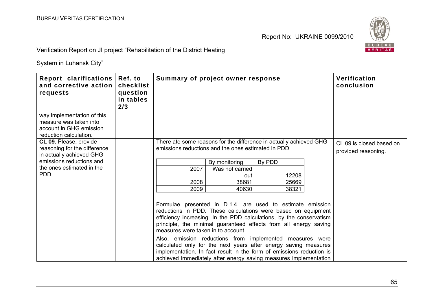

| Report clarifications<br>and corrective action<br>requests                                                | Ref. to<br>checklist<br>question<br>in tables<br>2/3 |                                    | Summary of project owner response                  |                                                                                                                                                                                                                                                                                                                                                                                                                                                                                                                                                   | Verification<br>conclusion                      |
|-----------------------------------------------------------------------------------------------------------|------------------------------------------------------|------------------------------------|----------------------------------------------------|---------------------------------------------------------------------------------------------------------------------------------------------------------------------------------------------------------------------------------------------------------------------------------------------------------------------------------------------------------------------------------------------------------------------------------------------------------------------------------------------------------------------------------------------------|-------------------------------------------------|
| way implementation of this<br>measure was taken into<br>account in GHG emission<br>reduction calculation. |                                                      |                                    |                                                    |                                                                                                                                                                                                                                                                                                                                                                                                                                                                                                                                                   |                                                 |
| <b>CL 09.</b> Please, provide<br>reasoning for the difference<br>in actually achieved GHG                 |                                                      |                                    | emissions reductions and the ones estimated in PDD | There ate some reasons for the difference in actually achieved GHG                                                                                                                                                                                                                                                                                                                                                                                                                                                                                | CL 09 is closed based on<br>provided reasoning. |
| emissions reductions and                                                                                  |                                                      |                                    | By monitoring                                      | By PDD                                                                                                                                                                                                                                                                                                                                                                                                                                                                                                                                            |                                                 |
| the ones estimated in the                                                                                 |                                                      | 2007                               | Was not carried                                    |                                                                                                                                                                                                                                                                                                                                                                                                                                                                                                                                                   |                                                 |
| PDD.                                                                                                      |                                                      |                                    | out                                                | 12208                                                                                                                                                                                                                                                                                                                                                                                                                                                                                                                                             |                                                 |
|                                                                                                           |                                                      | 2008                               | 38681                                              | 25669                                                                                                                                                                                                                                                                                                                                                                                                                                                                                                                                             |                                                 |
|                                                                                                           |                                                      | 2009                               | 40630                                              | 38321                                                                                                                                                                                                                                                                                                                                                                                                                                                                                                                                             |                                                 |
|                                                                                                           |                                                      | measures were taken in to account. |                                                    | Formulae presented in D.1.4. are used to estimate emission<br>reductions in PDD. These calculations were based on equipment<br>efficiency increasing. In the PDD calculations, by the conservatism<br>principle, the minimal guaranteed effects from all energy saving<br>Also, emission reductions from implemented measures were<br>calculated only for the next years after energy saving measures<br>implementation. In fact result in the form of emissions reduction is<br>achieved immediately after energy saving measures implementation |                                                 |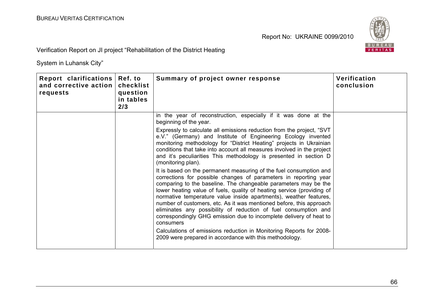

Verification Report on JI project "Rehabilitation of the District Heating

| Report clarifications<br>and corrective action<br>requests | Ref. to<br>checklist<br>question<br>in tables<br>2/3 | Summary of project owner response                                                                                                                                                                                                                                                                                                                                                                                                                                                                                                                                                                                                                                                                                                                                                                                                                                                                                                                                                                                                                                                                                                                                                                          | Verification<br>conclusion |
|------------------------------------------------------------|------------------------------------------------------|------------------------------------------------------------------------------------------------------------------------------------------------------------------------------------------------------------------------------------------------------------------------------------------------------------------------------------------------------------------------------------------------------------------------------------------------------------------------------------------------------------------------------------------------------------------------------------------------------------------------------------------------------------------------------------------------------------------------------------------------------------------------------------------------------------------------------------------------------------------------------------------------------------------------------------------------------------------------------------------------------------------------------------------------------------------------------------------------------------------------------------------------------------------------------------------------------------|----------------------------|
|                                                            |                                                      | in the year of reconstruction, especially if it was done at the<br>beginning of the year.<br>Expressly to calculate all emissions reduction from the project, "SVT<br>e.V." (Germany) and Institute of Engineering Ecology invented<br>monitoring methodology for "District Heating" projects in Ukrainian<br>conditions that take into account all measures involved in the project<br>and it's peculiarities This methodology is presented in section D<br>(monitoring plan).<br>It is based on the permanent measuring of the fuel consumption and<br>corrections for possible changes of parameters in reporting year<br>comparing to the baseline. The changeable parameters may be the<br>lower heating value of fuels, quality of heating service (providing of<br>normative temperature value inside apartments), weather features,<br>number of customers, etc. As it was mentioned before, this approach<br>eliminates any possibility of reduction of fuel consumption and<br>correspondingly GHG emission due to incomplete delivery of heat to<br>consumers<br>Calculations of emissions reduction in Monitoring Reports for 2008-<br>2009 were prepared in accordance with this methodology. |                            |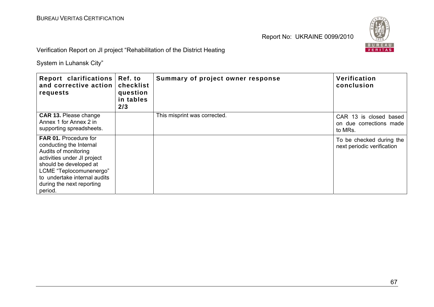

Verification Report on JI project "Rehabilitation of the District Heating

| Report clarifications<br>and corrective action<br>requests                                                                                                                                                                                  | Ref. to<br>checklist<br>question<br>in tables<br>2/3 | Summary of project owner response | Verification<br>conclusion                                   |
|---------------------------------------------------------------------------------------------------------------------------------------------------------------------------------------------------------------------------------------------|------------------------------------------------------|-----------------------------------|--------------------------------------------------------------|
| <b>CAR 13. Please change</b><br>Annex 1 for Annex 2 in<br>supporting spreadsheets.                                                                                                                                                          |                                                      | This misprint was corrected.      | CAR 13 is closed based<br>on due corrections made<br>to MRs. |
| <b>FAR 01. Procedure for</b><br>conducting the Internal<br>Audits of monitoring<br>activities under JI project<br>should be developed at<br>LCME "Teplocomunenergo"<br>to undertake internal audits<br>during the next reporting<br>period. |                                                      |                                   | To be checked during the<br>next periodic verification       |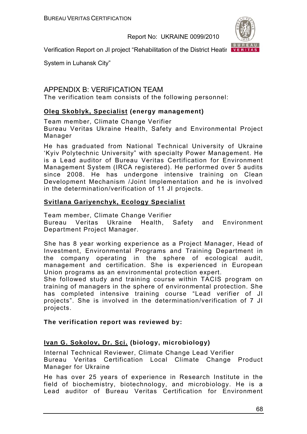

Verification Report on JI project "Rehabilitation of the District Heating VERITAS

System in Luhansk City"

# APPENDIX B: VERIFICATION TEAM

The verification team consists of the following personnel:

### **Oleg Skoblyk, Specialist (energy management)**

Team member, Climate Change Verifier

Bureau Veritas Ukraine Health, Safety and Environmental Project Manager

He has graduated from National Technical University of Ukraine 'Kyiv Polytechnic University" with specialty Power Management. He is a Lead auditor of Bureau Veritas Certification for Environment Management System (IRCA registered). He performed over 5 audits since 2008. He has undergone intensive training on Clean Development Mechanism /Joint Implementation and he is involved in the determination/verification of 11 JI projects.

### **Svitlana Gariyenchyk, Ecology Specialist**

Team member, Climate Change Verifier Bureau Veritas Ukraine Health, Safety and Environment Department Project Manager.

She has 8 year working experience as a Project Manager, Head of Investment, Environmental Programs and Training Department in the company operating in the sphere of ecological audit, management and certification. She is experienced in European Union programs as an environmental protection expert.

She followed study and training course within TACIS program on training of managers in the sphere of environmental protection. She has completed intensive training course "Lead verifier of JI projects". She is involved in the determination/verification of 7 JI projects.

### **The verification report was reviewed by:**

## **Ivan G. Sokolov, Dr. Sci. (biology, microbiology)**

Internal Technical Reviewer, Climate Change Lead Verifier Bureau Veritas Certification Local Climate Change Product Manager for Ukraine

He has over 25 years of experience in Research Institute in the field of biochemistry, biotechnology, and microbiology. He is a Lead auditor of Bureau Veritas Certification for Environment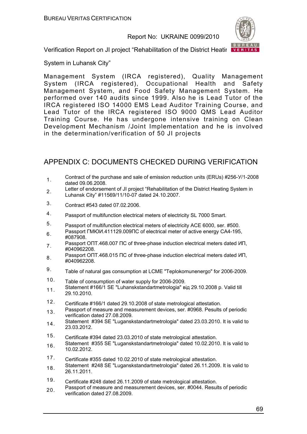

Verification Report on JI project "Rehabilitation of the District Heating VERITAS

System in Luhansk City"

Management System (IRCA registered), Quality Management System (IRCA registered), Occupational Health and Safety Management System, and Food Safety Management System. He performed over 140 audits since 1999. Also he is Lead Tutor of the IRCA registered ISO 14000 EMS Lead Auditor Training Course, and Lead Tutor of the IRCA registered ISO 9000 QMS Lead Auditor Training Course. He has undergone intensive training on Clean Development Mechanism /Joint Implementation and he is involved in the determination/verification of 50 JI projects

# APPENDIX C: DOCUMENTS CHECKED DURING VERIFICATION

- 1. Contract of the purchase and sale of emission reduction units (ERUs) #256-Y/1-2008 dated 09.06.2008.
- <sub>2</sub> Letter of endorsement of JI project "Rehabilitation of the District Heating System in Luhansk City" #11569/11/10-07 dated 24.10.2007.
- 3. Contract #543 dated 07.02.2006.
- 4. Passport of multifunction electrical meters of electricity SL 7000 Smart.
- 5. Passport of multifunction electrical meters of electricity ACE 6000, ser. #500.
- 6. Passport ГМЮИ.411129.009ПС of electrical meter of active energy CA4-195, #087908.
- 7. Passport ОПТ.468.007 ПС of three-phase induction electrical meters dated ИП, #040962208.
- 8. Passport ОПТ.468.015 ПС of three-phase induction electrical meters dated ИП, #040962208.
- 9. Table of natural gas consumption at LCME "Teplokomunenergo" for 2006-2009.
- 10. Table of consumption of water supply for 2006-2009.
- 11. Statement #166/1 SE "Luhanskstandartmetrologia" від 29.10.2008 р. Valid till 29.10.2010.
- 12. Certificate #166/1 dated 29.10.2008 of state metrological attestation.
- 13. Passport of measure and measurement devices, ser. #0968. Pesults of periodic verification dated 27.08.2009.
- 14. Statement #394 SE "Luganskstandartmetrologia" dated 23.03.2010. It is valid to 23.03.2012.
- 15. Certificate #394 dated 23.03.2010 of state metrological attestation.
- 16. Statement #355 SE "Luganskstandartmetrologia" dated 10.02.2010. It is valid to 10.02.2012.
- 17. Certificate #355 dated 10.02.2010 of state metrological attestation.
- 18. Statement #248 SE "Luganskstandartmetrologia" dated 26.11.2009. It is valid to 26.11.2011.
- 19. Certificate #248 dated 26.11.2009 of state metrological attestation.
- 20. Passport of measure and measurement devices, ser. #0044. Results of periodic verification dated 27.08.2009.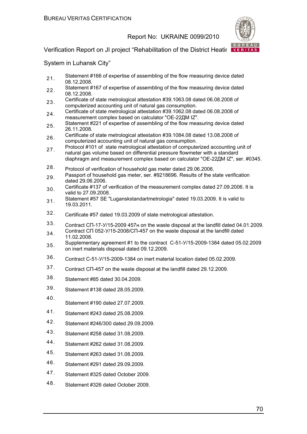

### Verification Report on JI project "Rehabilitation of the District Heating VERITAS"

- 21. Statement #166 of expertise of assembling of the flow measuring device dated 08.12.2008.
- 22. Statement #167 of expertise of assembling of the flow measuring device dated 08.12.2008.
- 23. Certificate of state metrological attestation #39.1063.08 dated 06.08.2008 of computerized accounting unit of natural gas consumption.
- 24. Certificate of state metrological attestation #39.1062.08 dated 06.08.2008 of measurement complex based on calculator "ОЕ-22ДМ IZ".
- 25. Statement #221 of expertise of assembling of the flow measuring device dated 26.11.2008.
- 26. Certificate of state metrological attestation #39.1084.08 dated 13.08.2008 of computerized accounting unit of natural gas consumption.
- 27. Protocol #101 of state metrological attestation of computerized accounting unit of natural gas volume based on differential pressure flowmeter with a standard diaphragm and measurement complex based on calculator "ОЕ-22ДМ IZ", ser. #0345.
- 28. Protocol of verification of household gas meter dated 29.06.2006.
- 29. Passport of household gas meter, ser. #9218696. Results of the state verification dated 29.06.2006.
- 30. Certificate #137 of verification of the measurement complex dated 27.09.2006. It is valid to 27.09.2008.
- 31. Statement #57 SE "Luganskstandartmetrologia" dated 19.03.2009. It is valid to 19.03.2011.
- 32. Certificate #57 dated 19.03.2009 of state metrological attestation.
- 33. Contract СП-17-У/15-2009 457н on the waste disposal at the landfill dated 04.01.2009. 34 Contract CI 052-У/15-2008/СП-457 on the waste disposal at the landfill dated
- 11.02.2008. 35. Supplementary agreement #1 to the contract С-51-У/15-2009-1384 dated 05.02.2009 on inert materials disposal dated 09.12.2009.
- 36. Contract С-51-У/15-2009-1384 on inert material location dated 05.02.2009.
- 37. Contract СП-457 on the waste disposal at the landfill dated 29.12.2009.
- 38. Statement #85 dated 30.04.2009.
- 39. Statement #138 dated 28.05.2009.
- 40. Statement #190 dated 27.07.2009.
- 41. Statement #243 dated 25.08.2009.
- 42. Statement #246/300 dated 29.09.2009.
- 43. Statement #258 dated 31.08.2009.
- 44. Statement #262 dated 31.08.2009.
- 45. Statement #263 dated 31.08.2009.
- 46. Statement #291 dated 29.09.2009.
- 47. Statement #325 dated October 2009.
- 48. Statement #326 dated October 2009.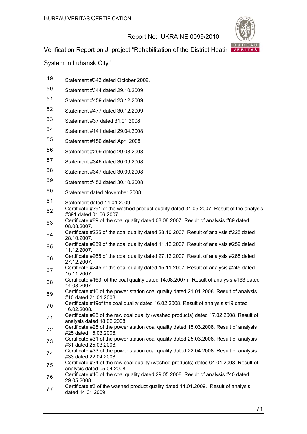

Verification Report on JI project "Rehabilitation of the District Heating VERITAS"

- 49. Statement #343 dated October 2009.
- 50. Statement #344 dated 29.10.2009.
- 51. Statement #459 dated 23.12.2009.
- 52. Statement #477 dated 30.12.2009.
- 53. Statement #37 dated 31.01.2008.
- 54. Statement #141 dated 29.04.2008.
- 55. Statement #156 dated April 2008.
- 56. Statement #299 dated 29.08.2008.
- 57. Statement #346 dated 30.09.2008.
- 58. Statement #347 dated 30.09.2008.
- 59. Statement #453 dated 30.10.2008.
- 60. Statement dated November 2008.
- 61. Statement dated 14.04.2009.
- 62. Certificate #391 of the washed product quality dated 31.05.2007. Result of the analysis #391 dated 01.06.2007.
- 63. Certificate #89 of the coal quality dated 08.08.2007. Result of analysis #89 dated 08.08.2007.
- $64.$  Certificate #225 of the coal quality dated 28.10.2007. Result of analysis #225 dated 28.10.2007.
- 65. Certificate #259 of the coal quality dated 11.12.2007. Result of analysis #259 dated 11.12.2007.
- 66. Certificate #265 of the coal quality dated 27.12.2007. Result of analysis #265 dated 27.12.2007.
- 67. Certificate #245 of the coal quality dated 15.11.2007. Result of analysis #245 dated 15.11.2007.
- 68. Certificate #163 of the coal quality dated 14.08.2007 г. Result of analysis #163 dated 14.08.2007.
- 69. Certificate #10 of the power station coal quality dated 21.01.2008. Result of analysis #10 dated 21.01.2008.
- 70. Certificate #19of the coal quality dated 16.02.2008. Result of analysis #19 dated 16.02.2008.
- 71. Certificate #25 of the raw coal quality (washed products) dated 17.02.2008. Result of analysis dated 18.02.2008.
- 72. Certificate #25 of the power station coal quality dated 15.03.2008. Result of analysis #25 dated 15.03.2008.
- 73. Certificate #31 of the power station coal quality dated 25.03.2008. Result of analysis #31 dated 25.03.2008.
- $74$  Certificate #33 of the power station coal quality dated 22.04.2008. Result of analysis #33 dated 22.04.2008.
- 75. Certificate #34 of the raw coal quality (washed products) dated 04.04.2008. Result of analysis dated 05.04.2008.
- 76. Certificate #40 of the coal quality dated 29.05.2008. Result of analysis #40 dated 29.05.2008.
- 77. Certificate #3 of the washed product quality dated 14.01.2009. Result of analysis dated 14.01.2009.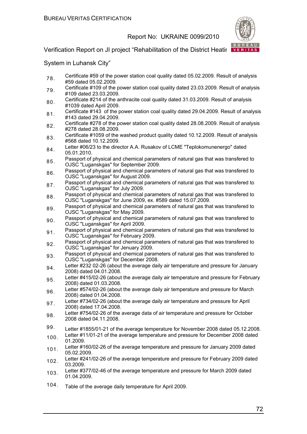

### Verification Report on JI project "Rehabilitation of the District Heating VERITAS"

- 78. Certificate #59 of the power station coal quality dated 05.02.2009. Result of analysis #59 dated 05.02.2009.
- 79. Certificate #109 of the power station coal quality dated 23.03.2009. Result of analysis #109 dated 23.03.2009.
- 80. Certificate #214 of the anthracite coal quality dated 31.03.2009. Result of analysis #1039 dated April 2009.
- 81. Certificate #143 of the power station coal quality dated 29.04.2009. Result of analysis #143 dated 29.04.2009.
- 82. Certificate #278 of the power station coal quality dated 28.08.2009. Result of analysis #278 dated 28.08.2009.
- 83. Certificate #1059 of the washed product quality dated 10.12.2009. Result of analysis #568 dated 10.12.2009.
- 84. Letter #06/23 to the director A.A. Rusakov of LCME "Teplokomunenergo" dated 05.01.2010.
- 85. Passport of physical and chemical parameters of natural gas that was transfered to OJSC "Luganskgas" for September 2009.
- 86. Passport of physical and chemical parameters of natural gas that was transfered to OJSC "Luganskgas" for August 2009.
- 87. Passport of physical and chemical parameters of natural gas that was transfered to OJSC "Luganskgas" for July 2009.
- 88. Passport of physical and chemical parameters of natural gas that was transfered to OJSC "Luganskgas" for June 2009, ex. #589 dated 15.07.2009.
- 89. Passport of physical and chemical parameters of natural gas that was transfered to OJSC "Luganskgas" for May 2009.
- 90. Passport of physical and chemical parameters of natural gas that was transfered to OJSC "Luganskgas" for April 2009.
- 91. Passport of physical and chemical parameters of natural gas that was transfered to OJSC "Luganskgas" for February 2009.
- 92. Passport of physical and chemical parameters of natural gas that was transfered to OJSC "Luganskgas" for Jenuary 2009.
- 93. Passport of physical and chemical parameters of natural gas that was transfered to OJSC "Luganskgas" for December 2008.
- 94. Letter #232 02-26 (about the average daily air temperature and pressure for January 2008) dated 04.01.2008.
- 95. Letter #415/02-26 (about the average daily air temperature and pressure for February 2008) dated 01.03.2008.
- 96. Letter #574/02-26 (about the average daily air temperature and pressure for March 2008) dated 01.04.2008.
- 97. Letter #734/02-26 (about the average daily air temperature and pressure for April 2008) dated 17.04.2008.
- 98. Letter #754/02-26 of the average data of air temperature and pressure for October 2008 dated 04.11.2008.
- 99. Letter #1855/01-21 of the average temperature for November 2008 dated 05.12.2008.
- <sub>100</sub> Letter #11/01-21 of the average temperature and pressure for December 2008 dated 01.2009.
- 101. Letter #160/02-26 of the average temperature and pressure for January 2009 dated 05.02.2009.
- 102. Letter #241/02-26 of the average temperature and pressure for February 2009 dated 03.2009.
- 103. Letter #377/02-46 of the average temperature and pressure for March 2009 dated 01.04.2009.
- 104. Table of the average daily temperature for April 2009.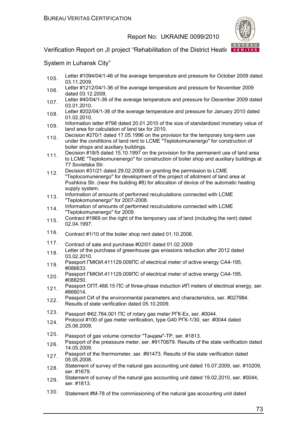

## Verification Report on JI project "Rehabilitation of the District Heating VERITAS"

- 105. Letter #1094/04/1-46 of the average temperature and pressure for October 2009 dated 03.11.2009.
- 106. Letter #1212/04/1-36 of the average temperature and pressure for November 2009 dated 03.12.2009.
- 107. Letter #40/04/1-36 of the average temperature and pressure for December 2009 dated 03.01.2010.
- 108. Letter #202/04/1-36 of the average temperature and pressure for January 2010 dated 01.02.2010.
- 109. Information letter #798 dated 20.01.2010 of the size of standardized monetary value of land area for calculation of land tax for 2010.
- 110. Decision #270/1 dated 17.05.1996 on the provision for the temporary long-term use under the conditions of land rent to LCME "Teplokomunenergo" for construction of boiler shops and auxiliary buildings.
- 111. Decision #18/5 dated 15.10.1997 on the provision for the permanent use of land area to LCME "Teplokomunenergo" for construction of boiler shop and auxiliary buildings at 77 Sovietska Str.
- 112. Decision #31/21 dated 29.02.2008 on granting the permission to LCME "Teplocomunenergo" for development of the project of allotment of land area at Pushkina Str. (near the building #8) for allocation of device of the automatic heating supply system.
- 113. Information of amounts of performed reculculations connected with LCME "Teplokomunenergo" for 2007-2008.
- 114 Information of amounts of performed reculculations connected with LCME "Teplokomunenergo" for 2009.
- 115. Contract #1969 on the right of the temporary use of land (including the rent) dated 02.04.1997.
- 116. Contract #1/10 of the boiler shop rent dated 01.10.2006.
- 117. Contract of sale and purchase #02/01 dated 01.02.2009
- 118. Letter of the purchase of greenhouse gas enissions reduction after 2012 dated 03.02.2010.
- 119. Passport ГМЮИ.411129.009ПС of electrical meter of active energy СА4-195, #086633.
- 120. Passport ГМЮИ.411129.009ПС of electrical meter of active energy CA4-195, #088250.
- 121. Passport ОПТ.468.15 ПС of three-phase induction ИП meters of electrical energy, ser. #866014.
- 122. Passport СИ of the environmental parameters and characteristics, ser. #027984. Results of state verification dated 05.10.2009.
- 123. Passport Ф62.784.001 ПС of rotary gas meter РГК-Ех, ser. #0044.
- 124. Protocol #100 of gas meter verification, type G40 PFK-1/30, ser. #0044 dated 25.08.2009.
- 125. Passport of gas volume corrector "Тандем"-ТР, ser. #1813.
- 126. Passport of the preassure meter, ser. #9170879. Results of the state verification dated 14.05.2009.
- 127. Passport of the thermometer, ser. #91473. Results of the state verification dated 05.05.2008.
- 128. Statement of survey of the natural gas accounting unit dated 15.07.2009, ser. #10209, ser. #1679.
- 129. Statement of survey of the natural gas accounting unit dated 19.02.2010, ser. #0044, ser. #1813.
- 130. Statement #M-78 of the commissioning of the natural gas accounting unit dated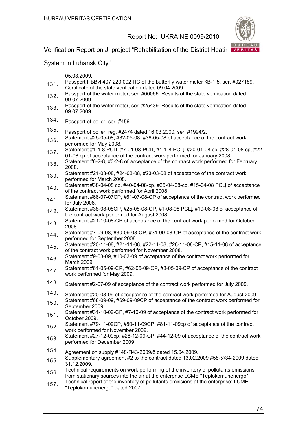

Verification Report on JI project "Rehabilitation of the District Heating VERITAS

System in Luhansk City"

05.03.2009.

- 131 Passport ПБВИ.407 223.002 ПС of the butterfly water meter KB-1,5, ser. #027189. Certificate of the state verification dated 09.04.2009.
- 132. Passport of the water meter, ser. #00066. Results of the state verification dated 09.07.2009.
- 133. Passport of the water meter, ser. #25439. Results of the state verification dated 09.07.2009.
- 134. Passport of boiler, ser. #456.
- 135. Passport of boiler, reg. #2474 dated 16.03.2000, ser. #1994/2.
- 136. Statement #25-05-08, #32-05-08, #36-05-08 of acceptance of the contract work performed for May 2008.
- 137. Statement #1-1-8 РСЦ, #7-01-08-РСЦ, #4-1-8-РСЦ, #20-01-08 ср, #28-01-08 ср, #22-01-08 ср of acceptance of the contract work performed for January 2008.
- 138. Statement #6-2-8, #3-2-8 of acceptance of the contract work performed for February 2008.
- 139. Statement #21-03-08, #24-03-08, #23-03-08 of acceptance of the contract work performed for March 2008.
- 140. Statement #38-04-08 ср, #40-04-08-ср, #25-04-08-ср, #15-04-08 РСЦ of acceptance of the contract work performed for April 2008.
- 141. Statement #66-07-07CP, #61-07-08-CP of acceptance of the contract work performed for July 2008.
- 142. Statement #38-08-08СР, #25-08-08-СР, #1-08-08 РСЦ, #19-08-08 of acceptance of the contract work performed for August 2008.
- 143. Statement #21-10-08-CP of acceptance of the contract work performed for October 2008.
- 144. Statement #7-09-08, #30-09-08-CP, #31-09-08-CP of acceptance of the contract work performed for September 2008.
- 145. Statement #20-11-08, #21-11-08, #22-11-08, #28-11-08-CP, #15-11-08 of acceptance of the contract work performed for November 2008.
- 146. Statement #9-03-09, #10-03-09 of acceptance of the contract work performed for March 2009.
- 147. Statement #61-05-09-CP, #62-05-09-CP, #3-05-09-CP of acceptance of the contract work performed for May 2009.
- 148. Statement #2-07-09 of acceptance of the contract work performed for July 2009.
- 149. Statement #20-08-09 of acceptance of the contract work performed for August 2009.
- 150. Statement #68-09-09, #69-09-09CP of acceptance of the contract work performed for September 2009.
- 151. Statement #31-10-09-CP, #7-10-09 of acceptance of the contract work performed for October 2009.
- 152. Statement #79-11-09CP, #80-11-09CP, #81-11-09cp of acceptance of the contract work performed for November 2009.
- 153. Statement #27-12-09cp, #28-12-09-CP, #44-12-09 of acceptance of the contract work performed for December 2009.
- 154. Agreement on supply #148-П43-2009/б dated 15.04.2009.
- 155. Supplementary agreement #2 to the contract dated 13.02.2009 #58-У/34-2009 dated 31.12.2009.
- 156. Technical requirements on work performing of the inventory of pollutants emissions from stationary sources into the air at the enterprise LCME "Teplokomunenergo".
- 157. Technical report of the inventory of pollutants emissions at the enterprise: LCME "Teplokomunenergo" dated 2007.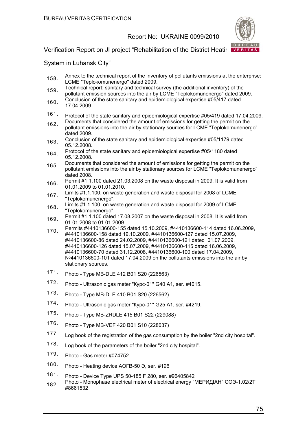

## Verification Report on JI project "Rehabilitation of the District Heating VERITAS"

- 158. Annex to the technical report of the inventory of pollutants emissions at the enterprise: LCME "Teplokomunenergo" dated 2009.
- 159 Technical report: sanitary and technical survey (the additional inventory) of the pollutant emission sources into the air by LCME "Teplokomunenergo" dated 2009.
- 160. Conclusion of the state sanitary and epidemiological expertise #05/417 dated 17.04.2009.
- 161. Protocol of the state sanitary and epidemiological expertise #05/419 dated 17.04.2009.
- 162. Documents that considered the amount of emissions for getting the permit on the pollutant emissions into the air by stationary sources for LCME "Teplokomunenergo" dated 2009.
- 163. Conclusion of the state sanitary and epidemiological expertise #05/1179 dated 05.12.2008.
- 164. Protocol of the state sanitary and epidemiological expertise #05/1180 dated 05.12.2008.
- 165. Documents that considered the amount of emissions for getting the permit on the pollutant emissions into the air by stationary sources for LCME "Teplokomunenergo" dated 2008.
- 166. Permit #1.1.100 dated 21.03.2008 on the waste disposal in 2009. It is valid from 01.01.2009 to 01.01.2010.
- 167. Limits #1.1.100. on waste generation and waste disposal for 2008 of LCME "Teplokomunenergo".
- 168. Limits #1.1.100. on waste generation and waste disposal for 2009 of LCME "Teplokomunenergo".
- 169 Permit #1.1.100 dated 17.08.2007 on the waste disposal in 2008. It is valid from 01.01.2008 to 01.01.2009.
- 170. Permits #4410136600-155 dated 15.10.2009, #4410136600-114 dated 16.06.2009, #4410136600-158 dated 19.10.2009, #4410136600-127 dated 15.07.2009, #4410136600-86 dated 24.02.2009, #4410136600-121 dated 01.07.2009, #4410136600-126 dated 15.07.2009, #4410136600-115 dated 16.06.2009, #4410136600-70 dated 31.12.2008, #4410136600-100 dated 17.04.2009, №4410136600-101 dated 17.04.2009 on the pollutants emissions into the air by stationary sources.
- 171. Photo Type MB-DLE 412 B01 S20 (226563)
- 172. Photo Ultrasonic gas meter "Курс-01" G40 A1, ser. #4015.
- 173. Photo Type MB-DLE 410 B01 S20 (226562)
- 174. Photo Ultrasonic gas meter "Курс-01" G25 A1, ser. #4219.
- 175. Photo Type MB-ZRDLE 415 B01 S22 (229088)
- 176. Photo Type MB-VEF 420 B01 S10 (228037)
- 177. Log book of the registration of the gas consumption by the boiler "2nd city hospital".
- 178. Log book of the parameters of the boiler "2nd city hospital".
- 179. Photo Gas meter #074752
- 180. Photo Heating device АОГВ-50 Э, ser. #196
- 181. Photo Device Type UPS 50-185 F 280, ser. #96405842
- 182. Photo Monophase electrical meter of electrical energy "МЕРИДІАН" СОЭ-1.02/2<sup>Т</sup> #8661532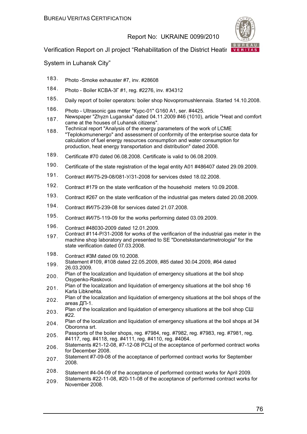

## Verification Report on JI project "Rehabilitation of the District Heating VERITAS"

- 183. Photo -Smoke exhauster #7, inv. #28608
- 184. Photo Boiler КСВА-3Г #1, reg. #2276, inv. #34312
- 185. Daily report of boiler operators: boiler shop Novopromushlennaia. Started 14.10.2008.
- 186. Photo Ultrasonic gas meter "Курс-01" G160 A1, ser. #4425.
- 187. Newspaper "Zhyzn Luganska" dated 04.11.2009 #46 (1010), article "Heat and comfort came at the houses of Luhansk citizens".
- 188. Technical report "Analysis of the energy parameters of the work of LCME "Teplokomunenergo" and assessment of conformity of the enterprise source data for calculation of fuel energy resources consumption and water consumption for production, heat energy transportation and distribution" dated 2008.
- 189. Certificate #70 dated 06.08.2008. Certificate is valid to 06.08.2009.
- 190. Certificate of the state registration of the legal entity A01 #486407 dated 29.09.2009.
- 191. Contract #И/75-29-08/081-У/31-2008 for services dsted 18.02.2008.
- 192. Contract #179 on the state verification of the household meters 10.09.2008.
- 193. Contract #267 on the state verification of the industrial gas meters dated 20.08.2009.
- 194. Contract #И/75-239-08 for services dated 21.07.2008.
- 195. Contract #И/75-119-09 for the works performing dated 03.09.2009.
- 196. Contract #48030-2009 dated 12.01.2009.
- 197 Contract #114-P/31-2008 for works of the verificarion of the industrial gas meter in the machine shop laboratory and presented to SE "Donetskstandartmetrologia" for the state verification dated 07.03.2008.
- 198. Contract #ЗМ dated 09.10.2008.
- 199. Statement #109, #108 dated 22.05.2009, #85 dated 30.04.2009, #64 dated 26.03.2009.
- 200. Plan of the localization and liquidation of emergency situations at the boil shop Osypenko-Raskovoi.
- 201. Plan of the localization and liquidation of emergency situations at the boil shop 16 Karla Libknehta.
- 202. Plan of the localization and liquidation of emergency situations at the boil shops of the areas ДП-1.
- 203. Plan of the localization and liquidation of emergency situations at the boil shop СШ #22.
- 204. Plan of the localization and liquidation of emergency situations at the boil shops at 34 Oboronna srt.
- 205. Passports of the boiler shops, reg. #7984, reg. #7982, reg. #7983, reg. #7981, reg. #4117, reg. #4118, reg. #4111, reg. #4110, reg. #4064.
- 206. Statements #21-12-08, #7-12-08 РСЦ of the acceptance of performed contract works for December 2008.
- 207. Statement #7-09-08 of the acceptance of performed contract works for September 2008.
- 208. Statement #4-04-09 of the acceptance of performed contract works for April 2009.
- 209. Statements #22-11-08, #20-11-08 of the acceptance of performed contract works for November 2008.